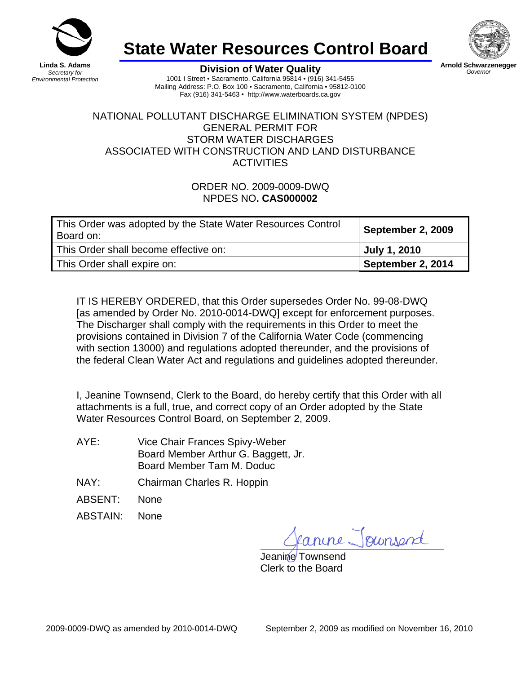

*Environmental Protection*

# **State Water Resources Control Board**



*Governor* 

**Division of Water Quality** 1001 I Street • Sacramento, California 95814 • (916) 341-5455 Mailing Address: P.O. Box 100 • Sacramento, California • 95812-0100 Fax (916) 341-5463 • http://www.waterboards.ca.gov

#### NATIONAL POLLUTANT DISCHARGE ELIMINATION SYSTEM (NPDES) GENERAL PERMIT FOR STORM WATER DISCHARGES ASSOCIATED WITH CONSTRUCTION AND LAND DISTURBANCE **ACTIVITIES**

### ORDER NO. 2009-0009-DWQ NPDES NO**. CAS000002**

| This Order was adopted by the State Water Resources Control<br>Board on: | September 2, 2009 |
|--------------------------------------------------------------------------|-------------------|
| This Order shall become effective on:                                    | July 1, 2010      |
| This Order shall expire on:                                              | September 2, 2014 |

IT IS HEREBY ORDERED, that this Order supersedes [Order No. 99-08-DWQ](http://www.waterboards.ca.gov/board_decisions/adopted_orders/water_quality/1999/wq1999_08.pdf) [as amended by Order No. 2010-0014-DWQ] except for enforcement purposes. The Discharger shall comply with the requirements in this Order to meet the provisions contained in Division 7 of the California Water Code (commencing with section 13000) and regulations adopted thereunder, and the provisions of the federal Clean Water Act and regulations and guidelines adopted thereunder.

I, Jeanine Townsend, Clerk to the Board, do hereby certify that this Order with all attachments is a full, true, and correct copy of an Order adopted by the State Water Resources Control Board, on September 2, 2009.

- AYE: Vice Chair Frances Spivy-Weber Board Member Arthur G. Baggett, Jr. Board Member Tam M. Doduc
- NAY: Chairman Charles R. Hoppin
- ABSENT: None
- ABSTAIN: None

rine Joursend

Jeanine Townsend Clerk to the Board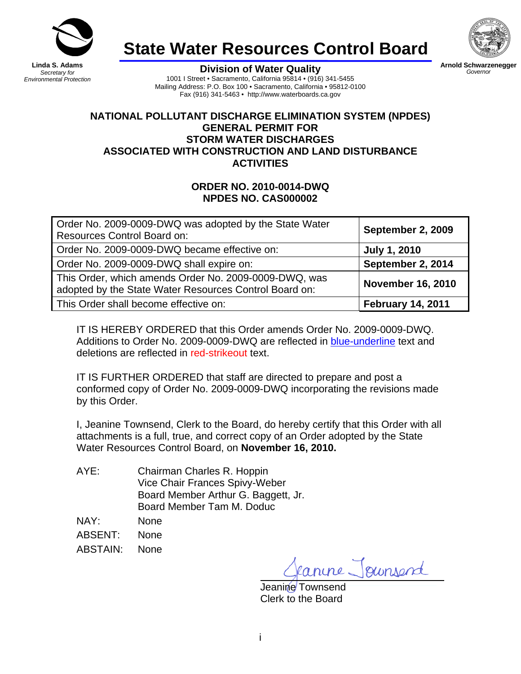

*Secretary for Environmental Protection* **State Water Resources Control Board**



**Arnold Schwarzenegger** Governor

**Division of Water Quality** 1001 I Street • Sacramento, California 95814 • (916) 341-5455 Mailing Address: P.O. Box 100 · Sacramento, California · 95812-0100 Fax (916) 341-5463 • http://www.waterboards.ca.gov

#### **NATIONAL POLLUTANT DISCHARGE ELIMINATION SYSTEM (NPDES) GENERAL PERMIT FOR STORM WATER DISCHARGES ASSOCIATED WITH CONSTRUCTION AND LAND DISTURBANCE ACTIVITIES**

### **ORDER NO. 2010-0014-DWQ NPDES NO. CAS000002**

| Order No. 2009-0009-DWQ was adopted by the State Water<br><b>Resources Control Board on:</b>                    | September 2, 2009        |
|-----------------------------------------------------------------------------------------------------------------|--------------------------|
| Order No. 2009-0009-DWQ became effective on:                                                                    | <b>July 1, 2010</b>      |
| Order No. 2009-0009-DWQ shall expire on:                                                                        | September 2, 2014        |
| This Order, which amends Order No. 2009-0009-DWQ, was<br>adopted by the State Water Resources Control Board on: | <b>November 16, 2010</b> |
| This Order shall become effective on:                                                                           | <b>February 14, 2011</b> |

IT IS HEREBY ORDERED that this Order amends Order No. 2009-0009-DWQ. Additions to Order No. 2009-0009-DWQ are reflected in blue-underline text and deletions are reflected in red-strikeout text.

IT IS FURTHER ORDERED that staff are directed to prepare and post a conformed copy of Order No. 2009-0009-DWQ incorporating the revisions made by this Order.

I, Jeanine Townsend, Clerk to the Board, do hereby certify that this Order with all attachments is a full, true, and correct copy of an Order adopted by the State Water Resources Control Board, on **November 16, 2010.**

| AYE: | Chairman Charles R. Hoppin          |
|------|-------------------------------------|
|      | Vice Chair Frances Spivy-Weber      |
|      | Board Member Arthur G. Baggett, Jr. |
|      | Board Member Tam M. Doduc           |
|      |                                     |

NAY: None

ABSENT: None

ABSTAIN: None

nine Joursend

Jeanine Townsend Clerk to the Board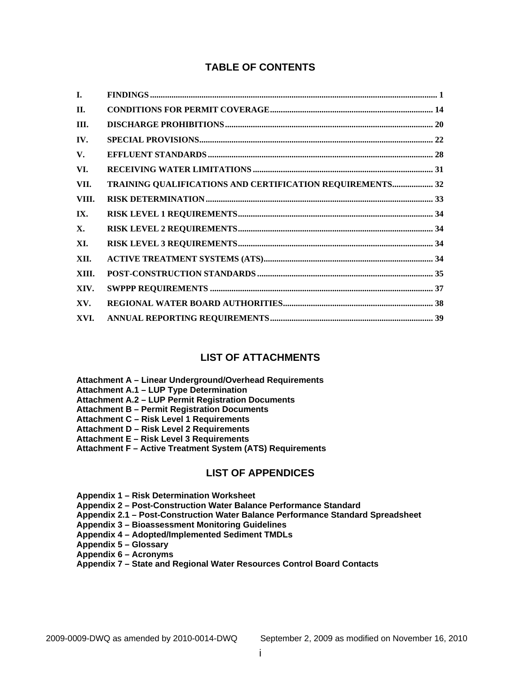### **TABLE OF CONTENTS**

| L.         |                                                           |  |
|------------|-----------------------------------------------------------|--|
| <b>II.</b> |                                                           |  |
| III.       |                                                           |  |
| IV.        |                                                           |  |
| V.         |                                                           |  |
| VI.        |                                                           |  |
| VII.       | TRAINING QUALIFICATIONS AND CERTIFICATION REQUIREMENTS 32 |  |
| VIII.      |                                                           |  |
| IX.        |                                                           |  |
| Х.         |                                                           |  |
| XI.        |                                                           |  |
| XII.       |                                                           |  |
| XIII.      |                                                           |  |
| XIV.       |                                                           |  |
| XV.        |                                                           |  |
| XVI.       |                                                           |  |

#### **LIST OF ATTACHMENTS**

- **Attachment A Linear Underground/Overhead Requirements**
- **Attachment A.1 LUP Type Determination**
- **Attachment A.2 LUP Permit Registration Documents**
- **Attachment B Permit Registration Documents**
- **Attachment C Risk Level 1 Requirements**
- **Attachment D Risk Level 2 Requirements**
- **Attachment E Risk Level 3 Requirements**
- **Attachment F Active Treatment System (ATS) Requirements**

#### **LIST OF APPENDICES**

**Appendix 1 – Risk Determination Worksheet** 

**Appendix 2 – Post-Construction Water Balance Performance Standard** 

- **Appendix 2.1 Post-Construction Water Balance Performance Standard Spreadsheet**
- **Appendix 3 Bioassessment Monitoring Guidelines**
- **Appendix 4 Adopted/Implemented Sediment TMDLs**
- **Appendix 5 Glossary**
- **Appendix 6 Acronyms**
- **Appendix 7 State and Regional Water Resources Control Board Contacts**

i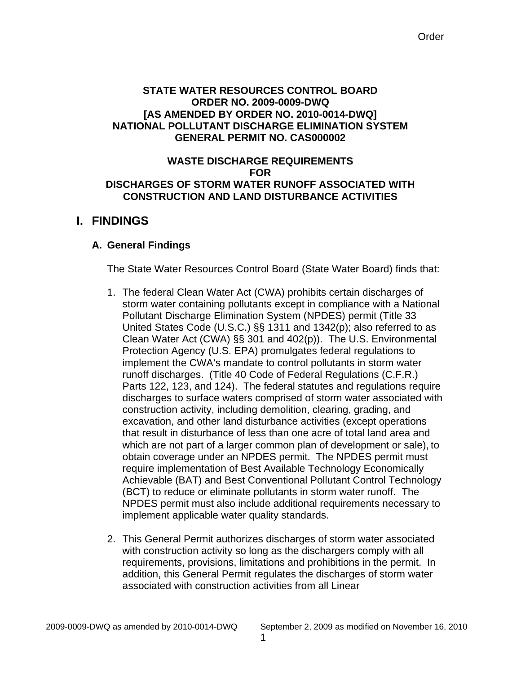#### <span id="page-3-0"></span>**STATE WATER RESOURCES CONTROL BOARD ORDER NO. 2009-0009-DWQ [AS AMENDED BY ORDER NO. 2010-0014-DWQ] NATIONAL POLLUTANT DISCHARGE ELIMINATION SYSTEM GENERAL PERMIT NO. CAS000002**

#### **WASTE DISCHARGE REQUIREMENTS FOR DISCHARGES OF STORM WATER RUNOFF ASSOCIATED WITH CONSTRUCTION AND LAND DISTURBANCE ACTIVITIES**

# **I. FINDINGS**

# **A. General Findings**

The State Water Resources Control Board (State Water Board) finds that:

- 1. The federal Clean Water Act (CWA) prohibits certain discharges of storm water containing pollutants except in compliance with a National Pollutant Discharge Elimination System (NPDES) permit (Title 33 United States Code (U.S.C.) §§ 1311 and 1342(p); also referred to as Clean Water Act (CWA) §§ 301 and 402(p)). The U.S. Environmental Protection Agency (U.S. EPA) promulgates federal regulations to implement the CWA's mandate to control pollutants in storm water runoff discharges. (Title 40 Code of Federal Regulations (C.F.R.) Parts 122, 123, and 124). The federal statutes and regulations require discharges to surface waters comprised of storm water associated with construction activity, including demolition, clearing, grading, and excavation, and other land disturbance activities (except operations that result in disturbance of less than one acre of total land area and which are not part of a larger common plan of development or sale), to obtain coverage under an NPDES permit. The NPDES permit must require implementation of Best Available Technology Economically Achievable (BAT) and Best Conventional Pollutant Control Technology (BCT) to reduce or eliminate pollutants in storm water runoff. The NPDES permit must also include additional requirements necessary to implement applicable water quality standards.
- 2. This General Permit authorizes discharges of storm water associated with construction activity so long as the dischargers comply with all requirements, provisions, limitations and prohibitions in the permit. In addition, this General Permit regulates the discharges of storm water associated with construction activities from all Linear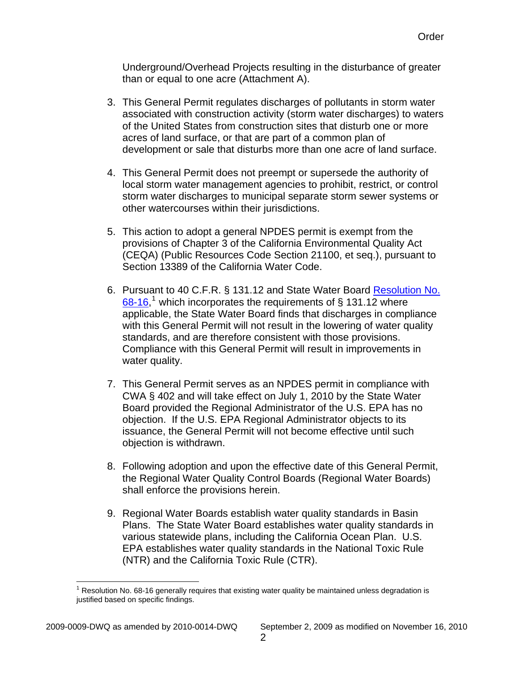Underground/Overhead Projects resulting in the disturbance of greater than or equal to one acre (Attachment A).

- 3. This General Permit regulates discharges of pollutants in storm water associated with construction activity (storm water discharges) to waters of the United States from construction sites that disturb one or more acres of land surface, or that are part of a common plan of development or sale that disturbs more than one acre of land surface.
- 4. This General Permit does not preempt or supersede the authority of local storm water management agencies to prohibit, restrict, or control storm water discharges to municipal separate storm sewer systems or other watercourses within their jurisdictions.
- 5. This action to adopt a general NPDES permit is exempt from the provisions of Chapter 3 of the California Environmental Quality Act (CEQA) (Public Resources Code Section 21100, et seq.), pursuant to Section 13389 of the California Water Code.
- 6. Pursuant to 40 C.F.R. § 131.12 and State Water Board [Resolution No.](http://www.waterboards.ca.gov/board_decisions/adopted_orders/resolutions/1968/rs68_016.pdf)   $68-16$  $68-16$  $68-16$ ,<sup>1</sup> which incorporates the requirements of § 131.12 where applicable, the State Water Board finds that discharges in compliance with this General Permit will not result in the lowering of water quality standards, and are therefore consistent with those provisions. Compliance with this General Permit will result in improvements in water quality.
- 7. This General Permit serves as an NPDES permit in compliance with CWA § 402 and will take effect on July 1, 2010 by the State Water Board provided the Regional Administrator of the U.S. EPA has no objection. If the U.S. EPA Regional Administrator objects to its issuance, the General Permit will not become effective until such objection is withdrawn.
- 8. Following adoption and upon the effective date of this General Permit, the Regional Water Quality Control Boards (Regional Water Boards) shall enforce the provisions herein.
- 9. Regional Water Boards establish water quality standards in Basin Plans. The State Water Board establishes water quality standards in various statewide plans, including the California Ocean Plan. U.S. EPA establishes water quality standards in the National Toxic Rule (NTR) and the California Toxic Rule (CTR).

1

<span id="page-4-0"></span>2009-0009-DWQ as amended by 2010-0014-DWQ September 2, 2009 as modified on November 16, 2010

<sup>1</sup> Resolution No. 68-16 generally requires that existing water quality be maintained unless degradation is justified based on specific findings.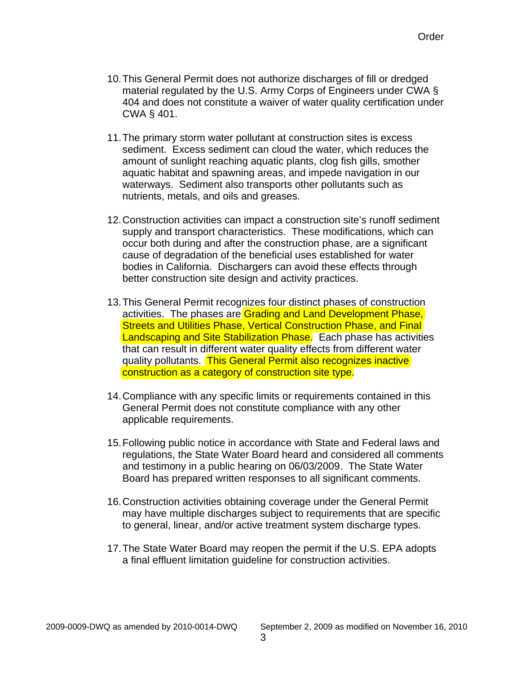- 10. This General Permit does not authorize discharges of fill or dredged material regulated by the U.S. Army Corps of Engineers under CWA § 404 and does not constitute a waiver of water quality certification under CWA § 401.
- 11.The primary storm water pollutant at construction sites is excess sediment. Excess sediment can cloud the water, which reduces the amount of sunlight reaching aquatic plants, clog fish gills, smother aquatic habitat and spawning areas, and impede navigation in our waterways. Sediment also transports other pollutants such as nutrients, metals, and oils and greases.
- 12.Construction activities can impact a construction site's runoff sediment supply and transport characteristics. These modifications, which can occur both during and after the construction phase, are a significant cause of degradation of the beneficial uses established for water bodies in California. Dischargers can avoid these effects through better construction site design and activity practices.
- 13.This General Permit recognizes four distinct phases of construction activities. The phases are Grading and Land Development Phase, Streets and Utilities Phase, Vertical Construction Phase, and Final Landscaping and Site Stabilization Phase. Each phase has activities that can result in different water quality effects from different water quality pollutants. This General Permit also recognizes inactive construction as a category of construction site type.
- 14.Compliance with any specific limits or requirements contained in this General Permit does not constitute compliance with any other applicable requirements.
- 15.Following public notice in accordance with State and Federal laws and regulations, the State Water Board heard and considered all comments and testimony in a public hearing on 06/03/2009. The State Water Board has prepared written responses to all significant comments.
- 16.Construction activities obtaining coverage under the General Permit may have multiple discharges subject to requirements that are specific to general, linear, and/or active treatment system discharge types.
- 17.The State Water Board may reopen the permit if the U.S. EPA adopts a final effluent limitation guideline for construction activities.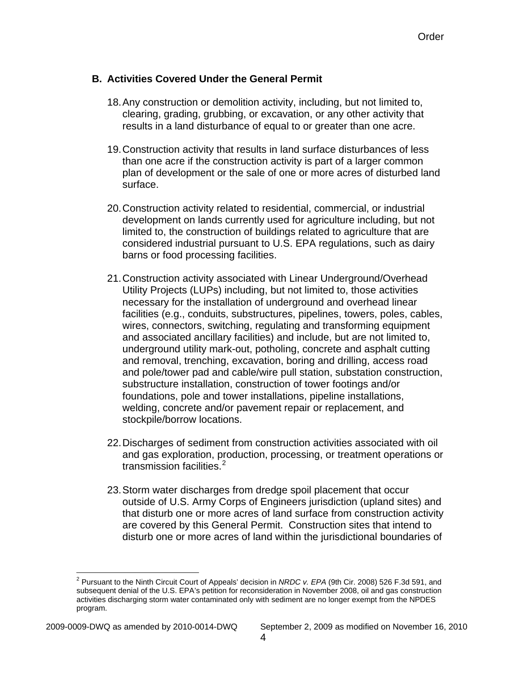### **B. Activities Covered Under the General Permit**

- 18. Any construction or demolition activity, including, but not limited to, clearing, grading, grubbing, or excavation, or any other activity that results in a land disturbance of equal to or greater than one acre.
- 19.Construction activity that results in land surface disturbances of less than one acre if the construction activity is part of a larger common plan of development or the sale of one or more acres of disturbed land surface.
- 20.Construction activity related to residential, commercial, or industrial development on lands currently used for agriculture including, but not limited to, the construction of buildings related to agriculture that are considered industrial pursuant to U.S. EPA regulations, such as dairy barns or food processing facilities.
- 21.Construction activity associated with Linear Underground/Overhead Utility Projects (LUPs) including, but not limited to, those activities necessary for the installation of underground and overhead linear facilities (e.g., conduits, substructures, pipelines, towers, poles, cables, wires, connectors, switching, regulating and transforming equipment and associated ancillary facilities) and include, but are not limited to, underground utility mark-out, potholing, concrete and asphalt cutting and removal, trenching, excavation, boring and drilling, access road and pole/tower pad and cable/wire pull station, substation construction, substructure installation, construction of tower footings and/or foundations, pole and tower installations, pipeline installations, welding, concrete and/or pavement repair or replacement, and stockpile/borrow locations.
- 22.Discharges of sediment from construction activities associated with oil and gas exploration, production, processing, or treatment operations or transmission facilities.<sup>[2](#page-6-0)</sup>
- 23.Storm water discharges from dredge spoil placement that occur outside of U.S. Army Corps of Engineers jurisdiction (upland sites) and that disturb one or more acres of land surface from construction activity are covered by this General Permit. Construction sites that intend to disturb one or more acres of land within the jurisdictional boundaries of

<span id="page-6-0"></span> 2 Pursuant to the Ninth Circuit Court of Appeals' decision in *NRDC v. EPA* (9th Cir. 2008) 526 F.3d 591, and subsequent denial of the U.S. EPA's petition for reconsideration in November 2008, oil and gas construction activities discharging storm water contaminated only with sediment are no longer exempt from the NPDES program.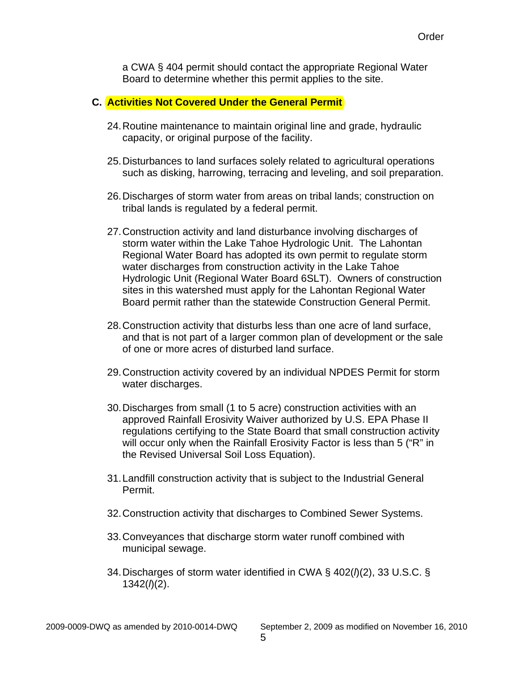a CWA § 404 permit should contact the appropriate Regional Water Board to determine whether this permit applies to the site.

#### **C. Activities Not Covered Under the General Permit**

- 24. Routine maintenance to maintain original line and grade, hydraulic capacity, or original purpose of the facility.
- 25.Disturbances to land surfaces solely related to agricultural operations such as disking, harrowing, terracing and leveling, and soil preparation.
- 26.Discharges of storm water from areas on tribal lands; construction on tribal lands is regulated by a federal permit.
- 27.Construction activity and land disturbance involving discharges of storm water within the Lake Tahoe Hydrologic Unit. The Lahontan Regional Water Board has adopted its own permit to regulate storm water discharges from construction activity in the Lake Tahoe Hydrologic Unit (Regional Water Board 6SLT). Owners of construction sites in this watershed must apply for the Lahontan Regional Water Board permit rather than the statewide Construction General Permit.
- 28.Construction activity that disturbs less than one acre of land surface, and that is not part of a larger common plan of development or the sale of one or more acres of disturbed land surface.
- 29.Construction activity covered by an individual NPDES Permit for storm water discharges.
- 30.Discharges from small (1 to 5 acre) construction activities with an approved Rainfall Erosivity Waiver authorized by U.S. EPA Phase II regulations certifying to the State Board that small construction activity will occur only when the Rainfall Erosivity Factor is less than 5 ("R" in the Revised Universal Soil Loss Equation).
- 31.Landfill construction activity that is subject to the Industrial General Permit.
- 32.Construction activity that discharges to Combined Sewer Systems.
- 33.Conveyances that discharge storm water runoff combined with municipal sewage.
- 34.Discharges of storm water identified in CWA § 402(*l*)(2), 33 U.S.C. § 1342(*l*)(2).

2009-0009-DWQ as amended by 2010-0014-DWQ September 2, 2009 as modified on November 16, 2010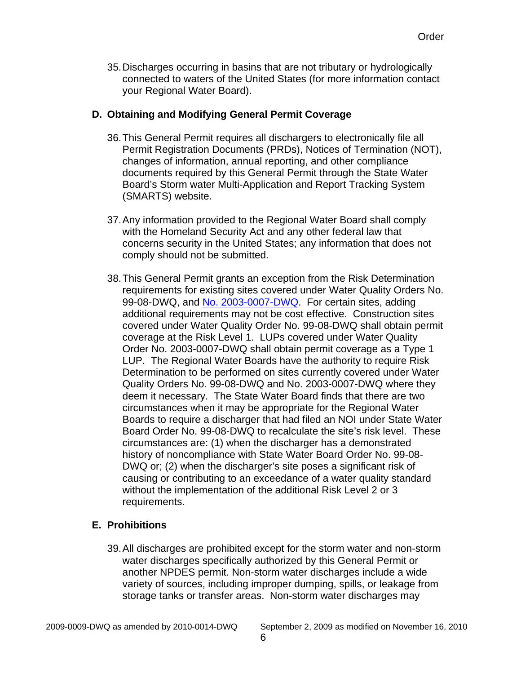35.Discharges occurring in basins that are not tributary or hydrologically connected to waters of the United States (for more information contact your Regional Water Board).

# **D. Obtaining and Modifying General Permit Coverage**

- 36. This General Permit requires all dischargers to electronically file all Permit Registration Documents (PRDs), Notices of Termination (NOT), changes of information, annual reporting, and other compliance documents required by this General Permit through the State Water Board's Storm water Multi-Application and Report Tracking System (SMARTS) website.
- 37.Any information provided to the Regional Water Board shall comply with the Homeland Security Act and any other federal law that concerns security in the United States; any information that does not comply should not be submitted.
- 38.This General Permit grants an exception from the Risk Determination requirements for existing sites covered under Water Quality Orders No. 99-08-DWQ, and [No. 2003-0007-DWQ.](http://www.waterboards.ca.gov/board_decisions/adopted_orders/water_quality/2003/wqo/wqo2003-0007dwq.pdf) For certain sites, adding additional requirements may not be cost effective. Construction sites covered under Water Quality Order No. 99-08-DWQ shall obtain permit coverage at the Risk Level 1. LUPs covered under Water Quality Order No. 2003-0007-DWQ shall obtain permit coverage as a Type 1 LUP. The Regional Water Boards have the authority to require Risk Determination to be performed on sites currently covered under Water Quality Orders No. 99-08-DWQ and No. 2003-0007-DWQ where they deem it necessary. The State Water Board finds that there are two circumstances when it may be appropriate for the Regional Water Boards to require a discharger that had filed an NOI under State Water Board Order No. 99-08-DWQ to recalculate the site's risk level. These circumstances are: (1) when the discharger has a demonstrated history of noncompliance with State Water Board Order No. 99-08- DWQ or; (2) when the discharger's site poses a significant risk of causing or contributing to an exceedance of a water quality standard without the implementation of the additional Risk Level 2 or 3 requirements.

# **E. Prohibitions**

39. All discharges are prohibited except for the storm water and non-storm water discharges specifically authorized by this General Permit or another NPDES permit. Non-storm water discharges include a wide variety of sources, including improper dumping, spills, or leakage from storage tanks or transfer areas. Non-storm water discharges may

2009-0009-DWQ as amended by 2010-0014-DWQ September 2, 2009 as modified on November 16, 2010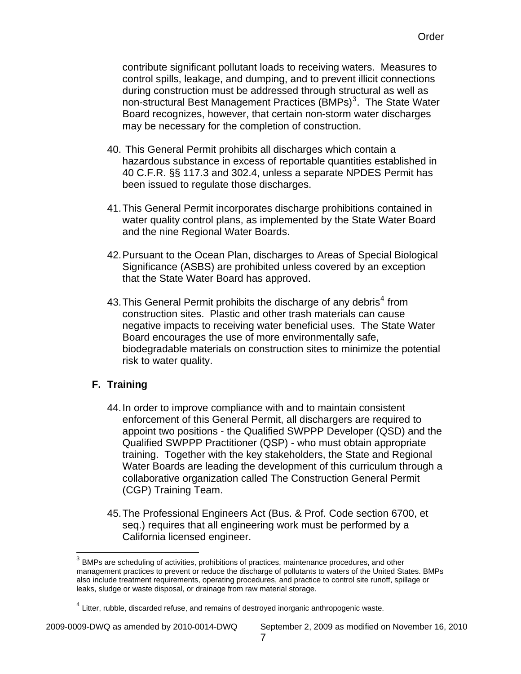contribute significant pollutant loads to receiving waters. Measures to control spills, leakage, and dumping, and to prevent illicit connections during construction must be addressed through structural as well as non-structural Best Management Practices (BMPs)<sup>3</sup>. The State Water Board recognizes, however, that certain non-storm water discharges may be necessary for the completion of construction.

- 40. This General Permit prohibits all discharges which contain a hazardous substance in excess of reportable quantities established in 40 C.F.R. §§ 117.3 and 302.4, unless a separate NPDES Permit has been issued to regulate those discharges.
- 41.This General Permit incorporates discharge prohibitions contained in water quality control plans, as implemented by the State Water Board and the nine Regional Water Boards.
- 42.Pursuant to the Ocean Plan, discharges to Areas of Special Biological Significance (ASBS) are prohibited unless covered by an exception that the State Water Board has approved.
- [4](#page-9-0)3. This General Permit prohibits the discharge of any debris<sup>4</sup> from construction sites. Plastic and other trash materials can cause negative impacts to receiving water beneficial uses. The State Water Board encourages the use of more environmentally safe, biodegradable materials on construction sites to minimize the potential risk to water quality.

# **F. Training**

 $\overline{a}$ 

- 44. In order to improve compliance with and to maintain consistent enforcement of this General Permit, all dischargers are required to appoint two positions - the Qualified SWPPP Developer (QSD) and the Qualified SWPPP Practitioner (QSP) - who must obtain appropriate training. Together with the key stakeholders, the State and Regional Water Boards are leading the development of this curriculum through a collaborative organization called The Construction General Permit (CGP) Training Team.
- 45.The Professional Engineers Act (Bus. & Prof. Code section 6700, et seq.) requires that all engineering work must be performed by a California licensed engineer.

<sup>&</sup>lt;sup>3</sup> BMPs are scheduling of activities, prohibitions of practices, maintenance procedures, and other management practices to prevent or reduce the discharge of pollutants to waters of the United States. BMPs also include treatment requirements, operating procedures, and practice to control site runoff, spillage or leaks, sludge or waste disposal, or drainage from raw material storage.

<span id="page-9-0"></span><sup>&</sup>lt;sup>4</sup> Litter, rubble, discarded refuse, and remains of destroyed inorganic anthropogenic waste.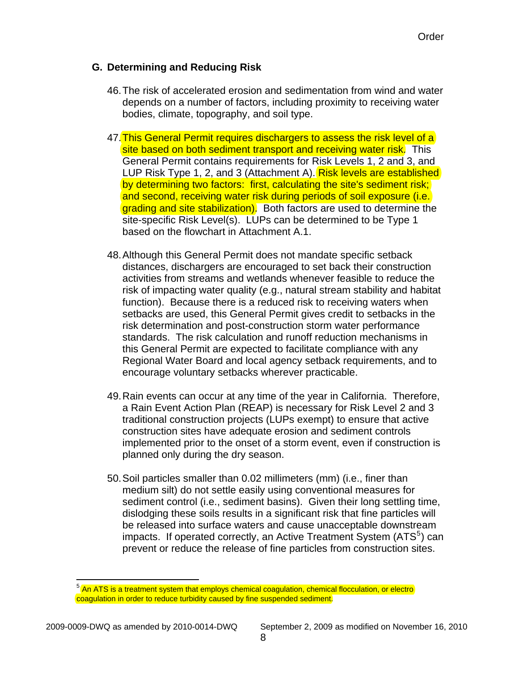### **G. Determining and Reducing Risk**

- 46. The risk of accelerated erosion and sedimentation from wind and water depends on a number of factors, including proximity to receiving water bodies, climate, topography, and soil type.
- 47.This General Permit requires dischargers to assess the risk level of a site based on both sediment transport and receiving water risk. This General Permit contains requirements for Risk Levels 1, 2 and 3, and LUP Risk Type 1, 2, and 3 (Attachment A). Risk levels are established by determining two factors: first, calculating the site's sediment risk; and second, receiving water risk during periods of soil exposure (i.e. grading and site stabilization). Both factors are used to determine the site-specific Risk Level(s). LUPs can be determined to be Type 1 based on the flowchart in Attachment A.1.
- 48.Although this General Permit does not mandate specific setback distances, dischargers are encouraged to set back their construction activities from streams and wetlands whenever feasible to reduce the risk of impacting water quality (e.g., natural stream stability and habitat function). Because there is a reduced risk to receiving waters when setbacks are used, this General Permit gives credit to setbacks in the risk determination and post-construction storm water performance standards. The risk calculation and runoff reduction mechanisms in this General Permit are expected to facilitate compliance with any Regional Water Board and local agency setback requirements, and to encourage voluntary setbacks wherever practicable.
- 49.Rain events can occur at any time of the year in California. Therefore, a Rain Event Action Plan (REAP) is necessary for Risk Level 2 and 3 traditional construction projects (LUPs exempt) to ensure that active construction sites have adequate erosion and sediment controls implemented prior to the onset of a storm event, even if construction is planned only during the dry season.
- 50.Soil particles smaller than 0.02 millimeters (mm) (i.e., finer than medium silt) do not settle easily using conventional measures for sediment control (i.e., sediment basins). Given their long settling time, dislodging these soils results in a significant risk that fine particles will be released into surface waters and cause unacceptable downstream impacts. If operated correctly, an Active Treatment System (ATS<sup>[5](#page-10-0)</sup>) can prevent or reduce the release of fine particles from construction sites.

1

<span id="page-10-0"></span><sup>&</sup>lt;sup>5</sup> An ATS is a treatment system that employs chemical coagulation, chemical flocculation, or electro coagulation in order to reduce turbidity caused by fine suspended sediment.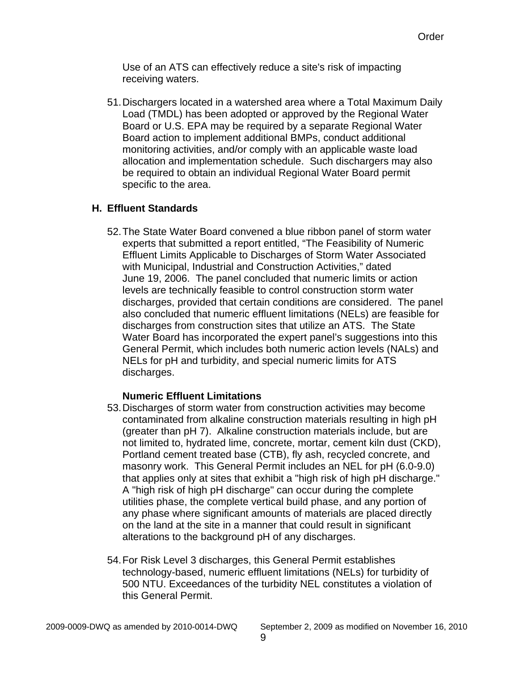Use of an ATS can effectively reduce a site's risk of impacting receiving waters.

51.Dischargers located in a watershed area where a Total Maximum Daily Load (TMDL) has been adopted or approved by the Regional Water Board or U.S. EPA may be required by a separate Regional Water Board action to implement additional BMPs, conduct additional monitoring activities, and/or comply with an applicable waste load allocation and implementation schedule. Such dischargers may also be required to obtain an individual Regional Water Board permit specific to the area.

# **H. Effluent Standards**

52. The State Water Board convened a blue ribbon panel of storm water experts that submitted a report entitled, "The Feasibility of Numeric Effluent Limits Applicable to Discharges of Storm Water Associated with Municipal, Industrial and Construction Activities," dated June 19, 2006. The panel concluded that numeric limits or action levels are technically feasible to control construction storm water discharges, provided that certain conditions are considered. The panel also concluded that numeric effluent limitations (NELs) are feasible for discharges from construction sites that utilize an ATS. The State Water Board has incorporated the expert panel's suggestions into this General Permit, which includes both numeric action levels (NALs) and NELs for pH and turbidity, and special numeric limits for ATS discharges.

# **Numeric Effluent Limitations**

- 53.Discharges of storm water from construction activities may become contaminated from alkaline construction materials resulting in high pH (greater than pH 7). Alkaline construction materials include, but are not limited to, hydrated lime, concrete, mortar, cement kiln dust (CKD), Portland cement treated base (CTB), fly ash, recycled concrete, and masonry work. This General Permit includes an NEL for pH (6.0-9.0) that applies only at sites that exhibit a "high risk of high pH discharge." A "high risk of high pH discharge" can occur during the complete utilities phase, the complete vertical build phase, and any portion of any phase where significant amounts of materials are placed directly on the land at the site in a manner that could result in significant alterations to the background pH of any discharges.
- 54.For Risk Level 3 discharges, this General Permit establishes technology-based, numeric effluent limitations (NELs) for turbidity of 500 NTU. Exceedances of the turbidity NEL constitutes a violation of this General Permit.

2009-0009-DWQ as amended by 2010-0014-DWQ September 2, 2009 as modified on November 16, 2010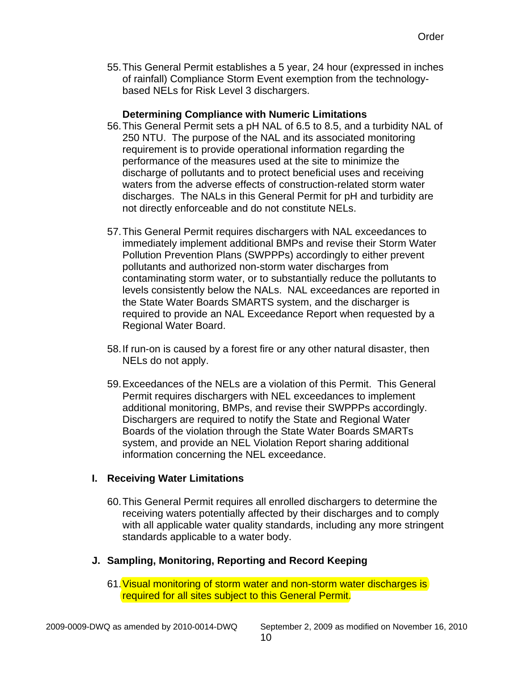55.This General Permit establishes a 5 year, 24 hour (expressed in inches of rainfall) Compliance Storm Event exemption from the technologybased NELs for Risk Level 3 dischargers.

### **Determining Compliance with Numeric Limitations**

- 56.This General Permit sets a pH NAL of 6.5 to 8.5, and a turbidity NAL of 250 NTU. The purpose of the NAL and its associated monitoring requirement is to provide operational information regarding the performance of the measures used at the site to minimize the discharge of pollutants and to protect beneficial uses and receiving waters from the adverse effects of construction-related storm water discharges. The NALs in this General Permit for pH and turbidity are not directly enforceable and do not constitute NELs.
- 57.This General Permit requires dischargers with NAL exceedances to immediately implement additional BMPs and revise their Storm Water Pollution Prevention Plans (SWPPPs) accordingly to either prevent pollutants and authorized non-storm water discharges from contaminating storm water, or to substantially reduce the pollutants to levels consistently below the NALs. NAL exceedances are reported in the State Water Boards SMARTS system, and the discharger is required to provide an NAL Exceedance Report when requested by a Regional Water Board.
- 58.If run-on is caused by a forest fire or any other natural disaster, then NELs do not apply.
- 59.Exceedances of the NELs are a violation of this Permit. This General Permit requires dischargers with NEL exceedances to implement additional monitoring, BMPs, and revise their SWPPPs accordingly. Dischargers are required to notify the State and Regional Water Boards of the violation through the State Water Boards SMARTs system, and provide an NEL Violation Report sharing additional information concerning the NEL exceedance.

# **I. Receiving Water Limitations**

- 60. This General Permit requires all enrolled dischargers to determine the receiving waters potentially affected by their discharges and to comply with all applicable water quality standards, including any more stringent standards applicable to a water body.
- **J. Sampling, Monitoring, Reporting and Record Keeping** 
	- 61. Visual monitoring of storm water and non-storm water discharges is required for all sites subject to this General Permit.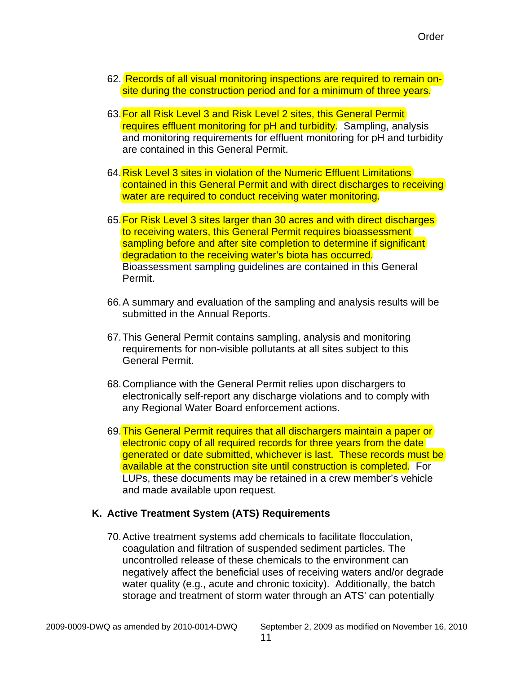- 62. Records of all visual monitoring inspections are required to remain onsite during the construction period and for a minimum of three years.
- 63.For all Risk Level 3 and Risk Level 2 sites, this General Permit requires effluent monitoring for pH and turbidity. Sampling, analysis and monitoring requirements for effluent monitoring for pH and turbidity are contained in this General Permit.
- 64.Risk Level 3 sites in violation of the Numeric Effluent Limitations contained in this General Permit and with direct discharges to receiving water are required to conduct receiving water monitoring.
- 65.For Risk Level 3 sites larger than 30 acres and with direct discharges to receiving waters, this General Permit requires bioassessment sampling before and after site completion to determine if significant degradation to the receiving water's biota has occurred. Bioassessment sampling guidelines are contained in this General Permit.
- 66.A summary and evaluation of the sampling and analysis results will be submitted in the Annual Reports.
- 67.This General Permit contains sampling, analysis and monitoring requirements for non-visible pollutants at all sites subject to this General Permit.
- 68.Compliance with the General Permit relies upon dischargers to electronically self-report any discharge violations and to comply with any Regional Water Board enforcement actions.
- 69.This General Permit requires that all dischargers maintain a paper or electronic copy of all required records for three years from the date generated or date submitted, whichever is last. These records must be available at the construction site until construction is completed. For LUPs, these documents may be retained in a crew member's vehicle and made available upon request.

#### **K. Active Treatment System (ATS) Requirements**

70. Active treatment systems add chemicals to facilitate flocculation, coagulation and filtration of suspended sediment particles. The uncontrolled release of these chemicals to the environment can negatively affect the beneficial uses of receiving waters and/or degrade water quality (e.g., acute and chronic toxicity). Additionally, the batch storage and treatment of storm water through an ATS' can potentially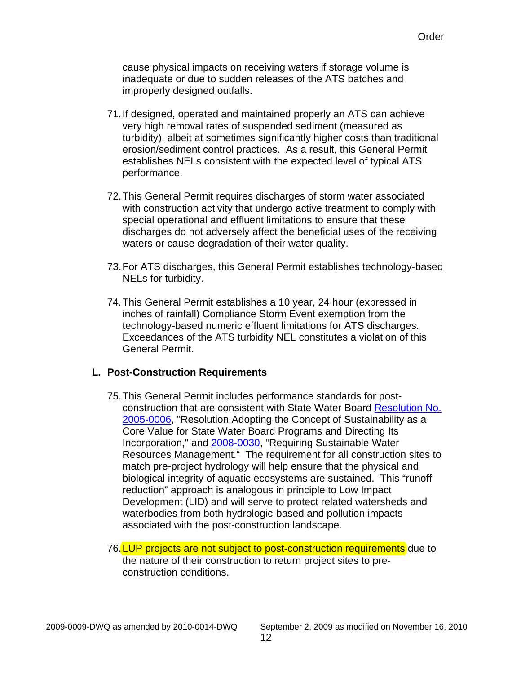cause physical impacts on receiving waters if storage volume is inadequate or due to sudden releases of the ATS batches and improperly designed outfalls.

- 71.If designed, operated and maintained properly an ATS can achieve very high removal rates of suspended sediment (measured as turbidity), albeit at sometimes significantly higher costs than traditional erosion/sediment control practices. As a result, this General Permit establishes NELs consistent with the expected level of typical ATS performance.
- 72.This General Permit requires discharges of storm water associated with construction activity that undergo active treatment to comply with special operational and effluent limitations to ensure that these discharges do not adversely affect the beneficial uses of the receiving waters or cause degradation of their water quality.
- 73.For ATS discharges, this General Permit establishes technology-based NELs for turbidity.
- 74.This General Permit establishes a 10 year, 24 hour (expressed in inches of rainfall) Compliance Storm Event exemption from the technology-based numeric effluent limitations for ATS discharges. Exceedances of the ATS turbidity NEL constitutes a violation of this General Permit.

#### **L. Post-Construction Requirements**

- 75.This General Permit includes performance standards for postconstruction that are consistent with State Water Board [Resolution No.](http://www.waterboards.ca.gov/board_decisions/adopted_orders/resolutions/2005/rs2005-0006.pdf)  [2005-0006](http://www.waterboards.ca.gov/board_decisions/adopted_orders/resolutions/2005/rs2005-0006.pdf), "Resolution Adopting the Concept of Sustainability as a Core Value for State Water Board Programs and Directing Its Incorporation," and [2008-0030,](http://www.waterboards.ca.gov/board_decisions/adopted_orders/resolutions/2008/rs2008_0030.pdf) "Requiring Sustainable Water Resources Management." The requirement for all construction sites to match pre-project hydrology will help ensure that the physical and biological integrity of aquatic ecosystems are sustained. This "runoff reduction" approach is analogous in principle to Low Impact Development (LID) and will serve to protect related watersheds and waterbodies from both hydrologic-based and pollution impacts associated with the post-construction landscape.
- 76. LUP projects are not subject to post-construction requirements due to the nature of their construction to return project sites to preconstruction conditions.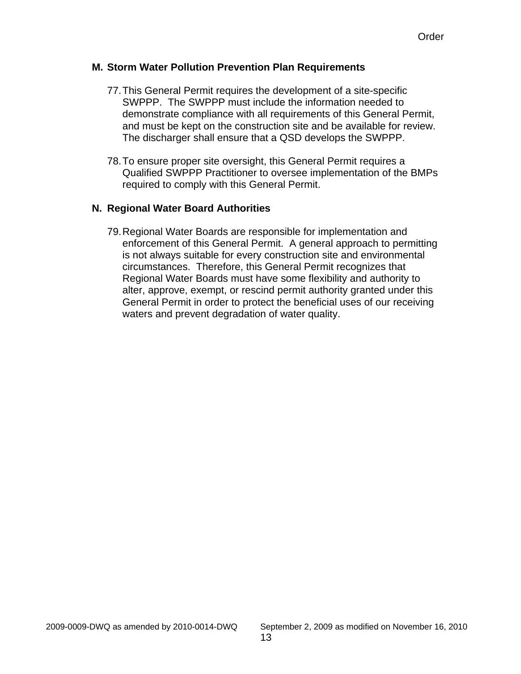#### **M. Storm Water Pollution Prevention Plan Requirements**

- 77.This General Permit requires the development of a site-specific SWPPP. The SWPPP must include the information needed to demonstrate compliance with all requirements of this General Permit, and must be kept on the construction site and be available for review. The discharger shall ensure that a QSD develops the SWPPP.
- 78. To ensure proper site oversight, this General Permit requires a Qualified SWPPP Practitioner to oversee implementation of the BMPs required to comply with this General Permit.

### **N. Regional Water Board Authorities**

79.Regional Water Boards are responsible for implementation and enforcement of this General Permit. A general approach to permitting is not always suitable for every construction site and environmental circumstances. Therefore, this General Permit recognizes that Regional Water Boards must have some flexibility and authority to alter, approve, exempt, or rescind permit authority granted under this General Permit in order to protect the beneficial uses of our receiving waters and prevent degradation of water quality.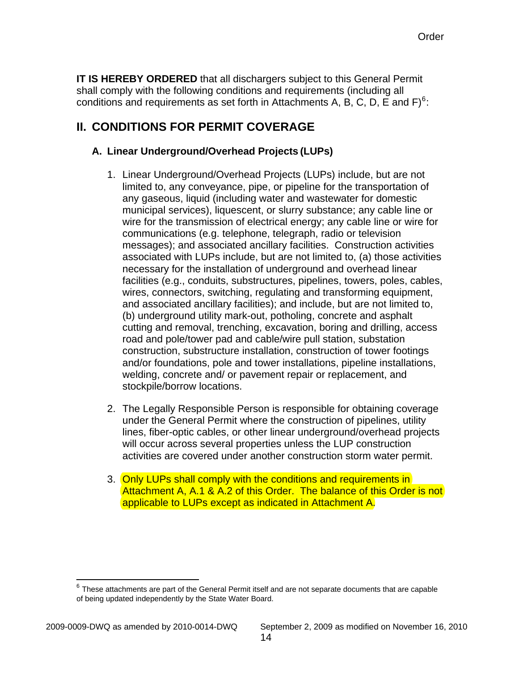<span id="page-16-0"></span>**IT IS HEREBY ORDERED** that all dischargers subject to this General Permit shall comply with the following conditions and requirements (including all conditions and requirements as set forth in Attachments A, B, C, D, E and F) $^6$  $^6$ :

# **II. CONDITIONS FOR PERMIT COVERAGE**

# **A. Linear Underground/Overhead Projects (LUPs)**

- 1. Linear Underground/Overhead Projects (LUPs) include, but are not limited to, any conveyance, pipe, or pipeline for the transportation of any gaseous, liquid (including water and wastewater for domestic municipal services), liquescent, or slurry substance; any cable line or wire for the transmission of electrical energy; any cable line or wire for communications (e.g. telephone, telegraph, radio or television messages); and associated ancillary facilities. Construction activities associated with LUPs include, but are not limited to, (a) those activities necessary for the installation of underground and overhead linear facilities (e.g., conduits, substructures, pipelines, towers, poles, cables, wires, connectors, switching, regulating and transforming equipment, and associated ancillary facilities); and include, but are not limited to, (b) underground utility mark-out, potholing, concrete and asphalt cutting and removal, trenching, excavation, boring and drilling, access road and pole/tower pad and cable/wire pull station, substation construction, substructure installation, construction of tower footings and/or foundations, pole and tower installations, pipeline installations, welding, concrete and/ or pavement repair or replacement, and stockpile/borrow locations.
- 2. The Legally Responsible Person is responsible for obtaining coverage under the General Permit where the construction of pipelines, utility lines, fiber-optic cables, or other linear underground/overhead projects will occur across several properties unless the LUP construction activities are covered under another construction storm water permit.
- 3. Only LUPs shall comply with the conditions and requirements in Attachment A, A.1 & A.2 of this Order. The balance of this Order is not applicable to LUPs except as indicated in Attachment A.

1

<span id="page-16-1"></span> $6$  These attachments are part of the General Permit itself and are not separate documents that are capable of being updated independently by the State Water Board.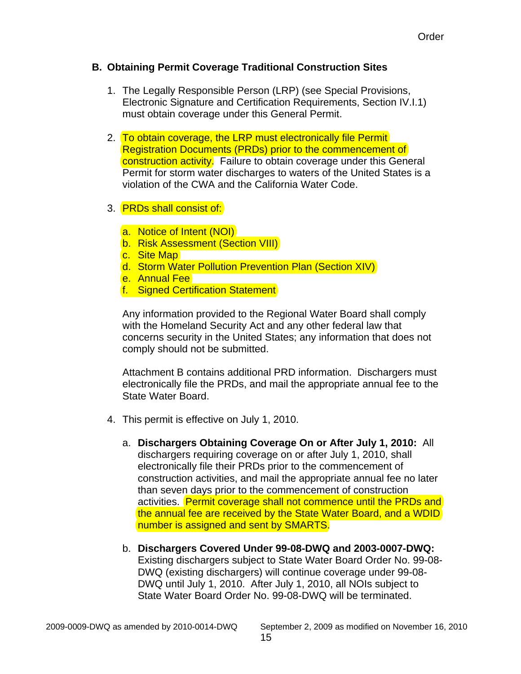### **B. Obtaining Permit Coverage Traditional Construction Sites**

- 1. The Legally Responsible Person (LRP) (see Special Provisions, Electronic Signature and Certification Requirements, Section IV.I.1) must obtain coverage under this General Permit.
- 2. To obtain coverage, the LRP must electronically file Permit Registration Documents (PRDs) prior to the commencement of construction activity. Failure to obtain coverage under this General Permit for storm water discharges to waters of the United States is a violation of the CWA and the California Water Code.
- 3. **PRDs shall consist of:** 
	- a. Notice of Intent (NOI)
	- b. Risk Assessment (Section VIII)
	- c. Site Map
	- d. Storm Water Pollution Prevention Plan (Section XIV)
	- e. Annual Fee
	- f. Signed Certification Statement

Any information provided to the Regional Water Board shall comply with the Homeland Security Act and any other federal law that concerns security in the United States; any information that does not comply should not be submitted.

Attachment B contains additional PRD information. Dischargers must electronically file the PRDs, and mail the appropriate annual fee to the State Water Board.

- 4. This permit is effective on July 1, 2010.
	- a. **Dischargers Obtaining Coverage On or After July 1, 2010:** All dischargers requiring coverage on or after July 1, 2010, shall electronically file their PRDs prior to the commencement of construction activities, and mail the appropriate annual fee no later than seven days prior to the commencement of construction activities. Permit coverage shall not commence until the PRDs and the annual fee are received by the State Water Board, and a WDID number is assigned and sent by SMARTS.
	- b. **Dischargers Covered Under 99-08-DWQ and 2003-0007-DWQ:** Existing dischargers subject to State Water Board Order No. 99-08- DWQ (existing dischargers) will continue coverage under 99-08- DWQ until July 1, 2010. After July 1, 2010, all NOIs subject to State Water Board Order No. 99-08-DWQ will be terminated.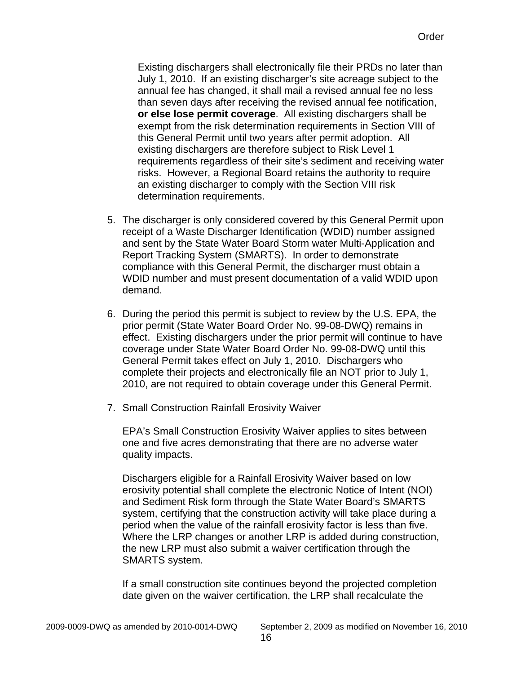Existing dischargers shall electronically file their PRDs no later than July 1, 2010. If an existing discharger's site acreage subject to the annual fee has changed, it shall mail a revised annual fee no less than seven days after receiving the revised annual fee notification, **or else lose permit coverage**. All existing dischargers shall be exempt from the risk determination requirements in Section VIII of this General Permit until two years after permit adoption. All existing dischargers are therefore subject to Risk Level 1 requirements regardless of their site's sediment and receiving water risks. However, a Regional Board retains the authority to require an existing discharger to comply with the Section VIII risk determination requirements.

- 5. The discharger is only considered covered by this General Permit upon receipt of a Waste Discharger Identification (WDID) number assigned and sent by the State Water Board Storm water Multi-Application and Report Tracking System (SMARTS). In order to demonstrate compliance with this General Permit, the discharger must obtain a WDID number and must present documentation of a valid WDID upon demand.
- 6. During the period this permit is subject to review by the U.S. EPA, the prior permit (State Water Board Order No. 99-08-DWQ) remains in effect. Existing dischargers under the prior permit will continue to have coverage under State Water Board Order No. 99-08-DWQ until this General Permit takes effect on July 1, 2010. Dischargers who complete their projects and electronically file an NOT prior to July 1, 2010, are not required to obtain coverage under this General Permit.
- 7. Small Construction Rainfall Erosivity Waiver

EPA's Small Construction Erosivity Waiver applies to sites between one and five acres demonstrating that there are no adverse water quality impacts.

Dischargers eligible for a Rainfall Erosivity Waiver based on low erosivity potential shall complete the electronic Notice of Intent (NOI) and Sediment Risk form through the State Water Board's SMARTS system, certifying that the construction activity will take place during a period when the value of the rainfall erosivity factor is less than five. Where the LRP changes or another LRP is added during construction, the new LRP must also submit a waiver certification through the SMARTS system.

If a small construction site continues beyond the projected completion date given on the waiver certification, the LRP shall recalculate the

2009-0009-DWQ as amended by 2010-0014-DWQ September 2, 2009 as modified on November 16, 2010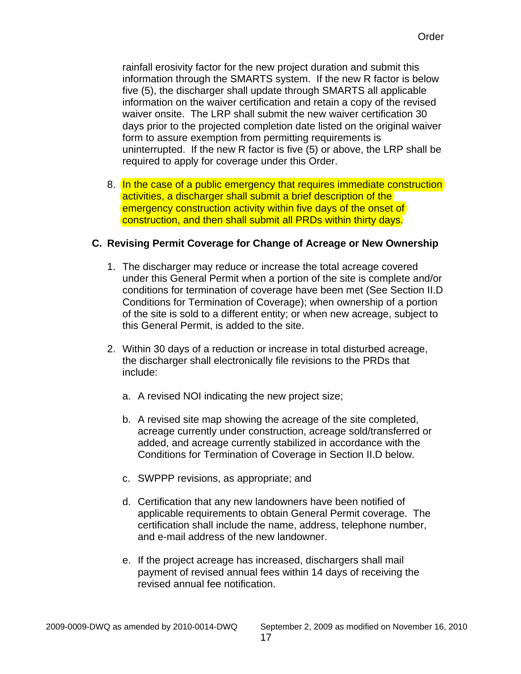rainfall erosivity factor for the new project duration and submit this information through the SMARTS system. If the new R factor is below five (5), the discharger shall update through SMARTS all applicable information on the waiver certification and retain a copy of the revised waiver onsite. The LRP shall submit the new waiver certification 30 days prior to the projected completion date listed on the original waiver form to assure exemption from permitting requirements is uninterrupted. If the new R factor is five (5) or above, the LRP shall be required to apply for coverage under this Order.

8. In the case of a public emergency that requires immediate construction activities, a discharger shall submit a brief description of the emergency construction activity within five days of the onset of construction, and then shall submit all PRDs within thirty days.

### **C. Revising Permit Coverage for Change of Acreage or New Ownership**

- 1. The discharger may reduce or increase the total acreage covered under this General Permit when a portion of the site is complete and/or conditions for termination of coverage have been met (See Section II.D Conditions for Termination of Coverage); when ownership of a portion of the site is sold to a different entity; or when new acreage, subject to this General Permit, is added to the site.
- 2. Within 30 days of a reduction or increase in total disturbed acreage, the discharger shall electronically file revisions to the PRDs that include:
	- a. A revised NOI indicating the new project size;
	- b. A revised site map showing the acreage of the site completed, acreage currently under construction, acreage sold/transferred or added, and acreage currently stabilized in accordance with the Conditions for Termination of Coverage in Section II.D below.
	- c. SWPPP revisions, as appropriate; and
	- d. Certification that any new landowners have been notified of applicable requirements to obtain General Permit coverage. The certification shall include the name, address, telephone number, and e-mail address of the new landowner.
	- e. If the project acreage has increased, dischargers shall mail payment of revised annual fees within 14 days of receiving the revised annual fee notification.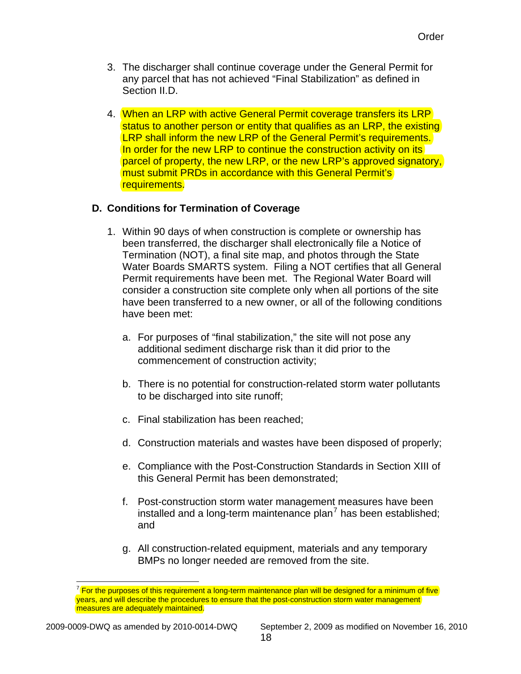- 3. The discharger shall continue coverage under the General Permit for any parcel that has not achieved "Final Stabilization" as defined in Section II.D.
- 4. When an LRP with active General Permit coverage transfers its LRP status to another person or entity that qualifies as an LRP, the existing LRP shall inform the new LRP of the General Permit's requirements. In order for the new LRP to continue the construction activity on its parcel of property, the new LRP, or the new LRP's approved signatory, must submit PRDs in accordance with this General Permit's requirements.

# **D. Conditions for Termination of Coverage**

- 1. Within 90 days of when construction is complete or ownership has been transferred, the discharger shall electronically file a Notice of Termination (NOT), a final site map, and photos through the State Water Boards SMARTS system. Filing a NOT certifies that all General Permit requirements have been met. The Regional Water Board will consider a construction site complete only when all portions of the site have been transferred to a new owner, or all of the following conditions have been met:
	- a. For purposes of "final stabilization," the site will not pose any additional sediment discharge risk than it did prior to the commencement of construction activity;
	- b. There is no potential for construction-related storm water pollutants to be discharged into site runoff;
	- c. Final stabilization has been reached;
	- d. Construction materials and wastes have been disposed of properly;
	- e. Compliance with the Post-Construction Standards in Section XIII of this General Permit has been demonstrated;
	- f. Post-construction storm water management measures have been installed and a long-term maintenance plan<sup>[7](#page-20-0)</sup> has been established; and
	- g. All construction-related equipment, materials and any temporary BMPs no longer needed are removed from the site.

 $\overline{a}$ 

<span id="page-20-0"></span> $^7$  For the purposes of this requirement a long-term maintenance plan will be designed for a minimum of five years, and will describe the procedures to ensure that the post-construction storm water management measures are adequately maintained.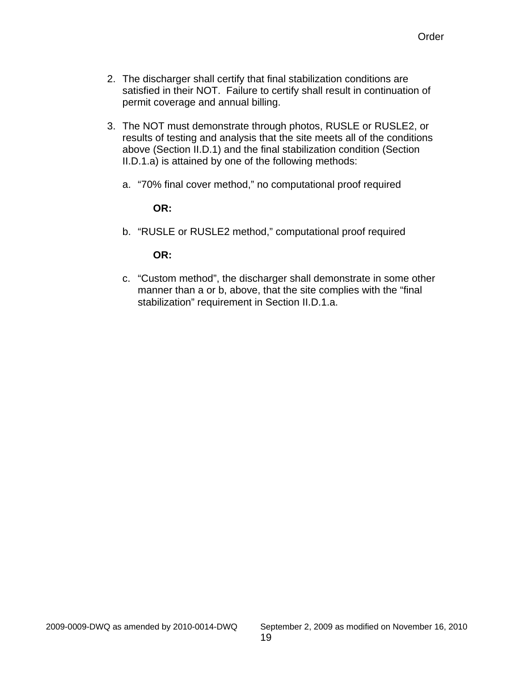- 2. The discharger shall certify that final stabilization conditions are satisfied in their NOT. Failure to certify shall result in continuation of permit coverage and annual billing.
- 3. The NOT must demonstrate through photos, RUSLE or RUSLE2, or results of testing and analysis that the site meets all of the conditions above (Section II.D.1) and the final stabilization condition (Section II.D.1.a) is attained by one of the following methods:
	- a. "70% final cover method," no computational proof required

### **OR:**

b. "RUSLE or RUSLE2 method," computational proof required

### **OR:**

c. "Custom method", the discharger shall demonstrate in some other manner than a or b, above, that the site complies with the "final stabilization" requirement in Section II.D.1.a.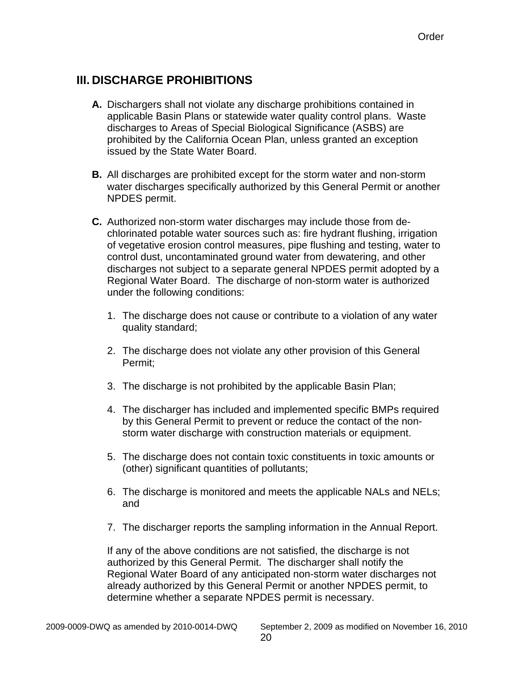# <span id="page-22-0"></span>**III. DISCHARGE PROHIBITIONS**

- **A.** Dischargers shall not violate any discharge prohibitions contained in applicable Basin Plans or statewide water quality control plans. Waste discharges to Areas of Special Biological Significance (ASBS) are prohibited by the California Ocean Plan, unless granted an exception issued by the State Water Board.
- **B.** All discharges are prohibited except for the storm water and non-storm water discharges specifically authorized by this General Permit or another NPDES permit.
- **C.** Authorized non-storm water discharges may include those from dechlorinated potable water sources such as: fire hydrant flushing, irrigation of vegetative erosion control measures, pipe flushing and testing, water to control dust, uncontaminated ground water from dewatering, and other discharges not subject to a separate general NPDES permit adopted by a Regional Water Board. The discharge of non-storm water is authorized under the following conditions:
	- 1. The discharge does not cause or contribute to a violation of any water quality standard;
	- 2. The discharge does not violate any other provision of this General Permit;
	- 3. The discharge is not prohibited by the applicable Basin Plan;
	- 4. The discharger has included and implemented specific BMPs required by this General Permit to prevent or reduce the contact of the nonstorm water discharge with construction materials or equipment.
	- 5. The discharge does not contain toxic constituents in toxic amounts or (other) significant quantities of pollutants;
	- 6. The discharge is monitored and meets the applicable NALs and NELs; and
	- 7. The discharger reports the sampling information in the Annual Report.

If any of the above conditions are not satisfied, the discharge is not authorized by this General Permit. The discharger shall notify the Regional Water Board of any anticipated non-storm water discharges not already authorized by this General Permit or another NPDES permit, to determine whether a separate NPDES permit is necessary.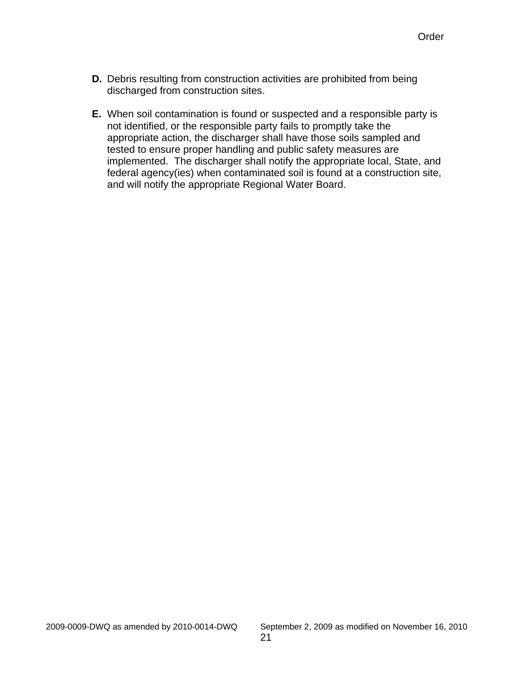- **D.** Debris resulting from construction activities are prohibited from being discharged from construction sites.
- **E.** When soil contamination is found or suspected and a responsible party is not identified, or the responsible party fails to promptly take the appropriate action, the discharger shall have those soils sampled and tested to ensure proper handling and public safety measures are implemented. The discharger shall notify the appropriate local, State, and federal agency(ies) when contaminated soil is found at a construction site, and will notify the appropriate Regional Water Board.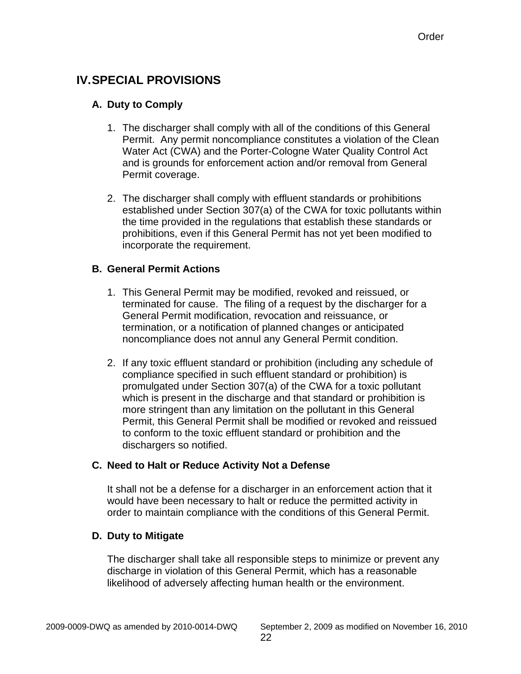# <span id="page-24-0"></span>**IV. SPECIAL PROVISIONS**

# **A. Duty to Comply**

- 1. The discharger shall comply with all of the conditions of this General Permit. Any permit noncompliance constitutes a violation of the Clean Water Act (CWA) and the Porter-Cologne Water Quality Control Act and is grounds for enforcement action and/or removal from General Permit coverage.
- 2. The discharger shall comply with effluent standards or prohibitions established under Section 307(a) of the CWA for toxic pollutants within the time provided in the regulations that establish these standards or prohibitions, even if this General Permit has not yet been modified to incorporate the requirement.

# **B. General Permit Actions**

- 1. This General Permit may be modified, revoked and reissued, or terminated for cause. The filing of a request by the discharger for a General Permit modification, revocation and reissuance, or termination, or a notification of planned changes or anticipated noncompliance does not annul any General Permit condition.
- 2. If any toxic effluent standard or prohibition (including any schedule of compliance specified in such effluent standard or prohibition) is promulgated under Section 307(a) of the CWA for a toxic pollutant which is present in the discharge and that standard or prohibition is more stringent than any limitation on the pollutant in this General Permit, this General Permit shall be modified or revoked and reissued to conform to the toxic effluent standard or prohibition and the dischargers so notified.

# **C. Need to Halt or Reduce Activity Not a Defense**

It shall not be a defense for a discharger in an enforcement action that it would have been necessary to halt or reduce the permitted activity in order to maintain compliance with the conditions of this General Permit.

# **D. Duty to Mitigate**

The discharger shall take all responsible steps to minimize or prevent any discharge in violation of this General Permit, which has a reasonable likelihood of adversely affecting human health or the environment.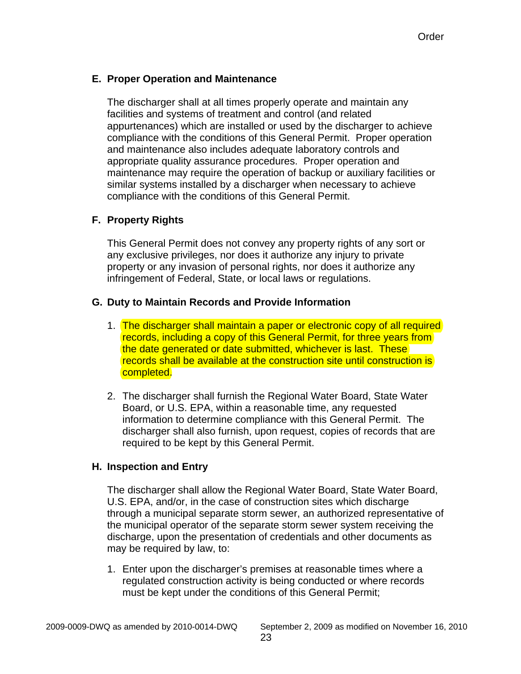# **E. Proper Operation and Maintenance**

The discharger shall at all times properly operate and maintain any facilities and systems of treatment and control (and related appurtenances) which are installed or used by the discharger to achieve compliance with the conditions of this General Permit. Proper operation and maintenance also includes adequate laboratory controls and appropriate quality assurance procedures. Proper operation and maintenance may require the operation of backup or auxiliary facilities or similar systems installed by a discharger when necessary to achieve compliance with the conditions of this General Permit.

# **F. Property Rights**

This General Permit does not convey any property rights of any sort or any exclusive privileges, nor does it authorize any injury to private property or any invasion of personal rights, nor does it authorize any infringement of Federal, State, or local laws or regulations.

#### **G. Duty to Maintain Records and Provide Information**

- 1. The discharger shall maintain a paper or electronic copy of all required records, including a copy of this General Permit, for three years from the date generated or date submitted, whichever is last. These records shall be available at the construction site until construction is completed.
- 2. The discharger shall furnish the Regional Water Board, State Water Board, or U.S. EPA, within a reasonable time, any requested information to determine compliance with this General Permit. The discharger shall also furnish, upon request, copies of records that are required to be kept by this General Permit.

#### **H. Inspection and Entry**

The discharger shall allow the Regional Water Board, State Water Board, U.S. EPA, and/or, in the case of construction sites which discharge through a municipal separate storm sewer, an authorized representative of the municipal operator of the separate storm sewer system receiving the discharge, upon the presentation of credentials and other documents as may be required by law, to:

1. Enter upon the discharger's premises at reasonable times where a regulated construction activity is being conducted or where records must be kept under the conditions of this General Permit;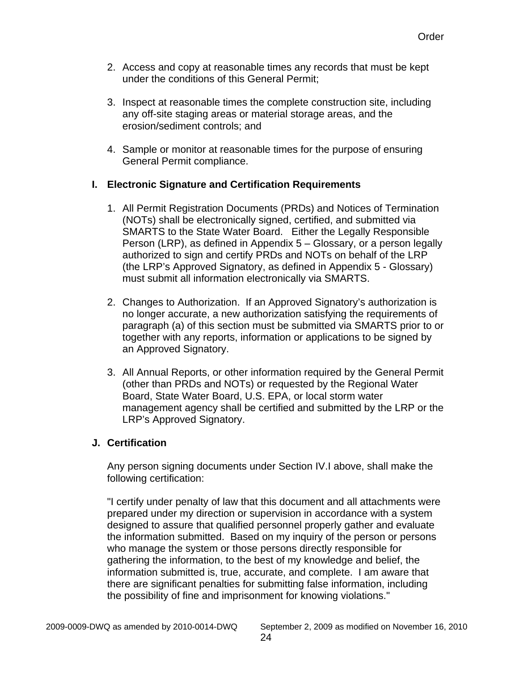- 2. Access and copy at reasonable times any records that must be kept under the conditions of this General Permit;
- 3. Inspect at reasonable times the complete construction site, including any off-site staging areas or material storage areas, and the erosion/sediment controls; and
- 4. Sample or monitor at reasonable times for the purpose of ensuring General Permit compliance.

# **I. Electronic Signature and Certification Requirements**

- 1. All Permit Registration Documents (PRDs) and Notices of Termination (NOTs) shall be electronically signed, certified, and submitted via SMARTS to the State Water Board. Either the Legally Responsible Person (LRP), as defined in Appendix 5 – Glossary, or a person legally authorized to sign and certify PRDs and NOTs on behalf of the LRP (the LRP's Approved Signatory, as defined in Appendix 5 - Glossary) must submit all information electronically via SMARTS.
- 2. Changes to Authorization. If an Approved Signatory's authorization is no longer accurate, a new authorization satisfying the requirements of paragraph (a) of this section must be submitted via SMARTS prior to or together with any reports, information or applications to be signed by an Approved Signatory.
- 3. All Annual Reports, or other information required by the General Permit (other than PRDs and NOTs) or requested by the Regional Water Board, State Water Board, U.S. EPA, or local storm water management agency shall be certified and submitted by the LRP or the LRP's Approved Signatory.

# **J. Certification**

Any person signing documents under Section IV.I above, shall make the following certification:

"I certify under penalty of law that this document and all attachments were prepared under my direction or supervision in accordance with a system designed to assure that qualified personnel properly gather and evaluate the information submitted. Based on my inquiry of the person or persons who manage the system or those persons directly responsible for gathering the information, to the best of my knowledge and belief, the information submitted is, true, accurate, and complete. I am aware that there are significant penalties for submitting false information, including the possibility of fine and imprisonment for knowing violations."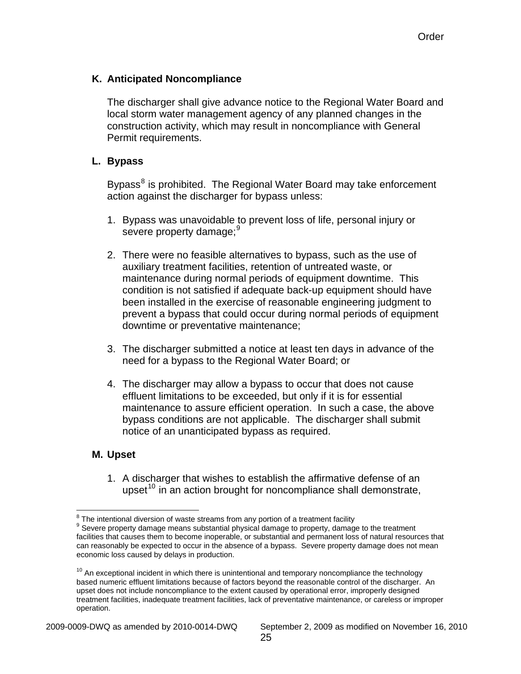### **K. Anticipated Noncompliance**

The discharger shall give advance notice to the Regional Water Board and local storm water management agency of any planned changes in the construction activity, which may result in noncompliance with General Permit requirements.

#### **L. Bypass**

Bypass<sup>[8](#page-27-0)</sup> is prohibited. The Regional Water Board may take enforcement action against the discharger for bypass unless:

- 1. Bypass was unavoidable to prevent loss of life, personal injury or severe property damage;<sup>[9](#page-27-1)</sup>
- 2. There were no feasible alternatives to bypass, such as the use of auxiliary treatment facilities, retention of untreated waste, or maintenance during normal periods of equipment downtime. This condition is not satisfied if adequate back-up equipment should have been installed in the exercise of reasonable engineering judgment to prevent a bypass that could occur during normal periods of equipment downtime or preventative maintenance;
- 3. The discharger submitted a notice at least ten days in advance of the need for a bypass to the Regional Water Board; or
- 4. The discharger may allow a bypass to occur that does not cause effluent limitations to be exceeded, but only if it is for essential maintenance to assure efficient operation. In such a case, the above bypass conditions are not applicable. The discharger shall submit notice of an unanticipated bypass as required.

#### **M. Upset**

1. A discharger that wishes to establish the affirmative defense of an upset<sup>[10](#page-27-2)</sup> in an action brought for noncompliance shall demonstrate,

 $\overline{a}$  $\frac{8}{3}$  The intentional diversion of waste streams from any portion of a treatment facility  $\frac{9}{3}$  Sovera preparty demoge means substantial physical demoge to preparty demoge

<span id="page-27-1"></span><span id="page-27-0"></span><sup>&</sup>lt;sup>9</sup> Severe property damage means substantial physical damage to property, damage to the treatment facilities that causes them to become inoperable, or substantial and permanent loss of natural resources that can reasonably be expected to occur in the absence of a bypass. Severe property damage does not mean economic loss caused by delays in production.

<span id="page-27-2"></span> $10$  An exceptional incident in which there is unintentional and temporary noncompliance the technology based numeric effluent limitations because of factors beyond the reasonable control of the discharger. An upset does not include noncompliance to the extent caused by operational error, improperly designed treatment facilities, inadequate treatment facilities, lack of preventative maintenance, or careless or improper operation.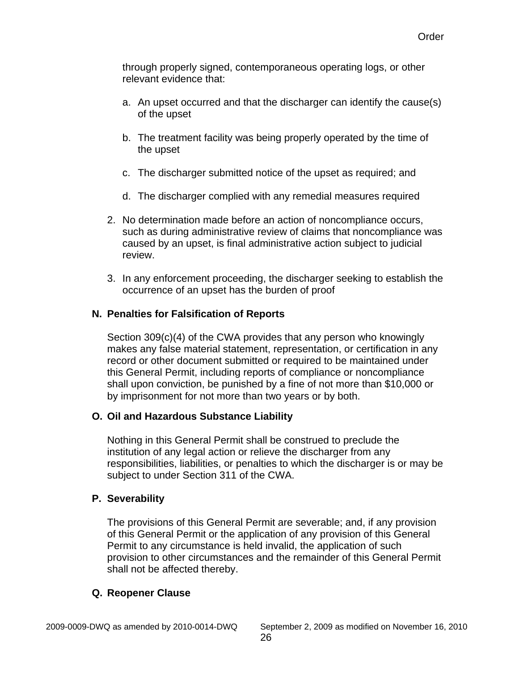through properly signed, contemporaneous operating logs, or other relevant evidence that:

- a. An upset occurred and that the discharger can identify the cause(s) of the upset
- b. The treatment facility was being properly operated by the time of the upset
- c. The discharger submitted notice of the upset as required; and
- d. The discharger complied with any remedial measures required
- 2. No determination made before an action of noncompliance occurs, such as during administrative review of claims that noncompliance was caused by an upset, is final administrative action subject to judicial review.
- 3. In any enforcement proceeding, the discharger seeking to establish the occurrence of an upset has the burden of proof

# **N. Penalties for Falsification of Reports**

Section 309(c)(4) of the CWA provides that any person who knowingly makes any false material statement, representation, or certification in any record or other document submitted or required to be maintained under this General Permit, including reports of compliance or noncompliance shall upon conviction, be punished by a fine of not more than \$10,000 or by imprisonment for not more than two years or by both.

# **O. Oil and Hazardous Substance Liability**

Nothing in this General Permit shall be construed to preclude the institution of any legal action or relieve the discharger from any responsibilities, liabilities, or penalties to which the discharger is or may be subject to under Section 311 of the CWA.

#### **P. Severability**

The provisions of this General Permit are severable; and, if any provision of this General Permit or the application of any provision of this General Permit to any circumstance is held invalid, the application of such provision to other circumstances and the remainder of this General Permit shall not be affected thereby.

#### **Q. Reopener Clause**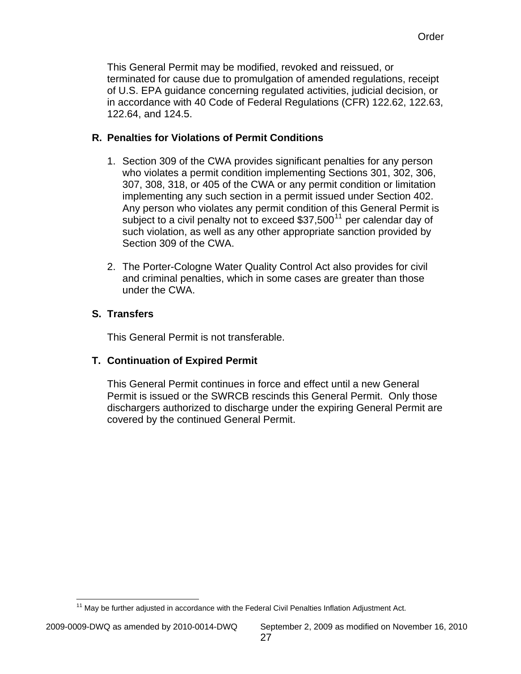This General Permit may be modified, revoked and reissued, or terminated for cause due to promulgation of amended regulations, receipt of U.S. EPA guidance concerning regulated activities, judicial decision, or in accordance with 40 Code of Federal Regulations (CFR) 122.62, 122.63, 122.64, and 124.5.

# **R. Penalties for Violations of Permit Conditions**

- 1. Section 309 of the CWA provides significant penalties for any person who violates a permit condition implementing Sections 301, 302, 306, 307, 308, 318, or 405 of the CWA or any permit condition or limitation implementing any such section in a permit issued under Section 402. Any person who violates any permit condition of this General Permit is subject to a civil penalty not to exceed  $$37,500<sup>11</sup>$  $$37,500<sup>11</sup>$  $$37,500<sup>11</sup>$  per calendar day of such violation, as well as any other appropriate sanction provided by Section 309 of the CWA.
- 2. The Porter-Cologne Water Quality Control Act also provides for civil and criminal penalties, which in some cases are greater than those under the CWA.

# **S. Transfers**

This General Permit is not transferable.

# **T. Continuation of Expired Permit**

This General Permit continues in force and effect until a new General Permit is issued or the SWRCB rescinds this General Permit. Only those dischargers authorized to discharge under the expiring General Permit are covered by the continued General Permit.

<span id="page-29-0"></span> $\overline{a}$  $11$  May be further adjusted in accordance with the Federal Civil Penalties Inflation Adjustment Act.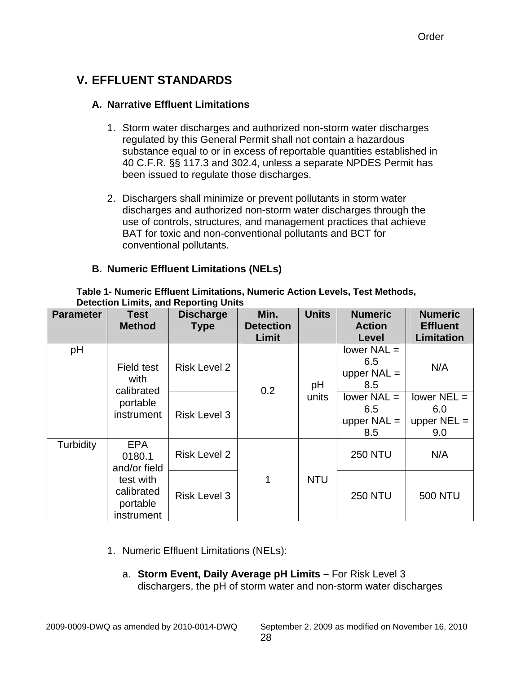# <span id="page-30-0"></span>**V. EFFLUENT STANDARDS**

# **A. Narrative Effluent Limitations**

- 1. Storm water discharges and authorized non-storm water discharges regulated by this General Permit shall not contain a hazardous substance equal to or in excess of reportable quantities established in 40 C.F.R. §§ 117.3 and 302.4, unless a separate NPDES Permit has been issued to regulate those discharges.
- 2. Dischargers shall minimize or prevent pollutants in storm water discharges and authorized non-storm water discharges through the use of controls, structures, and management practices that achieve BAT for toxic and non-conventional pollutants and BCT for conventional pollutants.

# **B. Numeric Effluent Limitations (NELs)**

| <b>Parameter</b> | Detection Emmo, and Reporting Units                                                       |                                 | Min.                      | <b>Units</b> | <b>Numeric</b>                               | <b>Numeric</b>                               |
|------------------|-------------------------------------------------------------------------------------------|---------------------------------|---------------------------|--------------|----------------------------------------------|----------------------------------------------|
|                  | <b>Test</b><br><b>Method</b>                                                              | <b>Discharge</b><br><b>Type</b> | <b>Detection</b><br>Limit |              | <b>Action</b><br>Level                       | <b>Effluent</b><br><b>Limitation</b>         |
| pH               | Field test<br>with<br>calibrated<br>portable<br>instrument                                | <b>Risk Level 2</b>             | 0.2                       | pH           | lower $NAL =$<br>6.5<br>upper $NAL =$<br>8.5 | N/A                                          |
|                  |                                                                                           | <b>Risk Level 3</b>             |                           | units        | lower $NAL =$<br>6.5<br>upper $NAL =$<br>8.5 | lower $NEL =$<br>6.0<br>upper $NEL =$<br>9.0 |
| Turbidity        | <b>EPA</b><br>0180.1<br>and/or field<br>test with<br>calibrated<br>portable<br>instrument | <b>Risk Level 2</b>             |                           |              | <b>250 NTU</b>                               | N/A                                          |
|                  |                                                                                           | <b>Risk Level 3</b>             | 1                         | <b>NTU</b>   | <b>250 NTU</b>                               | <b>500 NTU</b>                               |

**Table 1- Numeric Effluent Limitations, Numeric Action Levels, Test Methods, Detection Limits, and Reporting Units** 

- 1. Numeric Effluent Limitations (NELs):
	- a. **Storm Event, Daily Average pH Limits** For Risk Level 3 dischargers, the pH of storm water and non-storm water discharges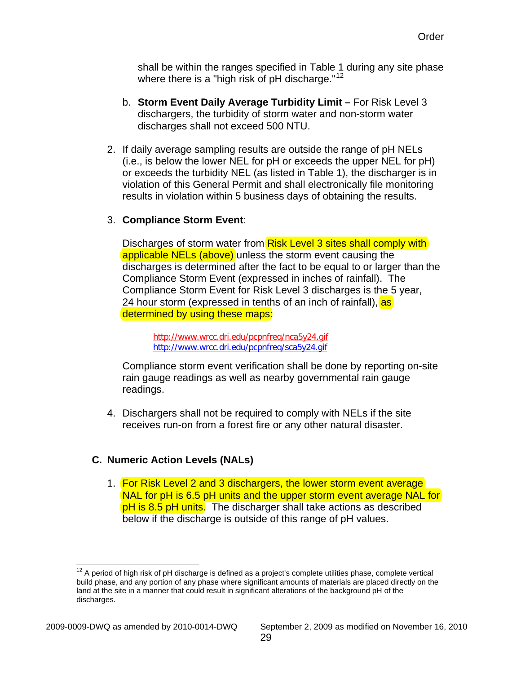shall be within the ranges specified in Table 1 during any site phase where there is a "high risk of  $pH$  discharge."<sup>12</sup>

- b. **Storm Event Daily Average Turbidity Limit –** For Risk Level 3 dischargers, the turbidity of storm water and non-storm water discharges shall not exceed 500 NTU.
- 2. If daily average sampling results are outside the range of pH NELs (i.e., is below the lower NEL for pH or exceeds the upper NEL for pH) or exceeds the turbidity NEL (as listed in Table 1), the discharger is in violation of this General Permit and shall electronically file monitoring results in violation within 5 business days of obtaining the results.

### 3. **Compliance Storm Event**:

Discharges of storm water from Risk Level 3 sites shall comply with applicable NELs (above) unless the storm event causing the discharges is determined after the fact to be equal to or larger than the Compliance Storm Event (expressed in inches of rainfall). The Compliance Storm Event for Risk Level 3 discharges is the 5 year, 24 hour storm (expressed in tenths of an inch of rainfall), as determined by using these maps:

http://www.wrcc.dri.edu/pcpnfreq/nca5y24.gif <http://www.wrcc.dri.edu/pcpnfreq/sca5y24.gif>

Compliance storm event verification shall be done by reporting on-site rain gauge readings as well as nearby governmental rain gauge readings.

4. Dischargers shall not be required to comply with NELs if the site receives run-on from a forest fire or any other natural disaster.

# **C. Numeric Action Levels (NALs)**

1. For Risk Level 2 and 3 dischargers, the lower storm event average NAL for pH is 6.5 pH units and the upper storm event average NAL for pH is 8.5 pH units. The discharger shall take actions as described below if the discharge is outside of this range of pH values.

 $\overline{a}$ 

 $12$  A period of high risk of pH discharge is defined as a project's complete utilities phase, complete vertical build phase, and any portion of any phase where significant amounts of materials are placed directly on the land at the site in a manner that could result in significant alterations of the background pH of the discharges.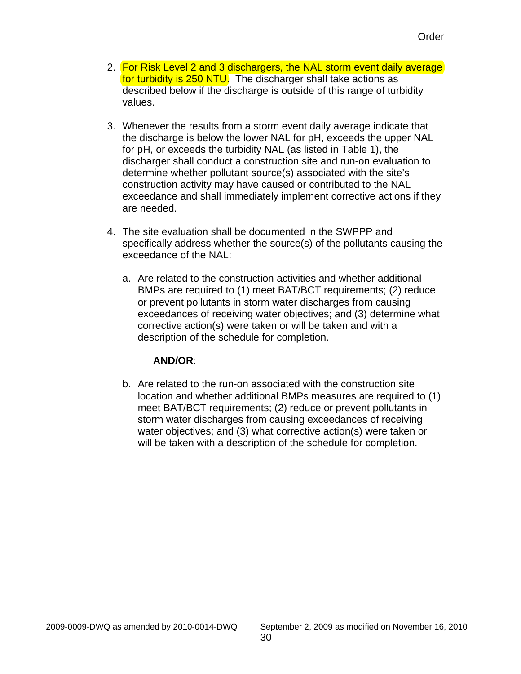- 2. For Risk Level 2 and 3 dischargers, the NAL storm event daily average for turbidity is 250 NTU. The discharger shall take actions as described below if the discharge is outside of this range of turbidity values.
- 3. Whenever the results from a storm event daily average indicate that the discharge is below the lower NAL for pH, exceeds the upper NAL for pH, or exceeds the turbidity NAL (as listed in Table 1), the discharger shall conduct a construction site and run-on evaluation to determine whether pollutant source(s) associated with the site's construction activity may have caused or contributed to the NAL exceedance and shall immediately implement corrective actions if they are needed.
- 4. The site evaluation shall be documented in the SWPPP and specifically address whether the source(s) of the pollutants causing the exceedance of the NAL:
	- a. Are related to the construction activities and whether additional BMPs are required to (1) meet BAT/BCT requirements; (2) reduce or prevent pollutants in storm water discharges from causing exceedances of receiving water objectives; and (3) determine what corrective action(s) were taken or will be taken and with a description of the schedule for completion.

#### **AND/OR**:

b. Are related to the run-on associated with the construction site location and whether additional BMPs measures are required to (1) meet BAT/BCT requirements; (2) reduce or prevent pollutants in storm water discharges from causing exceedances of receiving water objectives; and (3) what corrective action(s) were taken or will be taken with a description of the schedule for completion.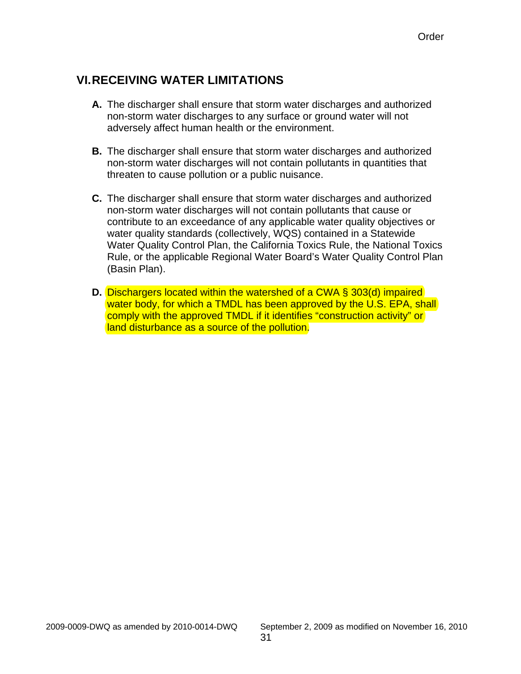# <span id="page-33-0"></span>**VI. RECEIVING WATER LIMITATIONS**

- **A.** The discharger shall ensure that storm water discharges and authorized non-storm water discharges to any surface or ground water will not adversely affect human health or the environment.
- **B.** The discharger shall ensure that storm water discharges and authorized non-storm water discharges will not contain pollutants in quantities that threaten to cause pollution or a public nuisance.
- **C.** The discharger shall ensure that storm water discharges and authorized non-storm water discharges will not contain pollutants that cause or contribute to an exceedance of any applicable water quality objectives or water quality standards (collectively, WQS) contained in a Statewide Water Quality Control Plan, the California Toxics Rule, the National Toxics Rule, or the applicable Regional Water Board's Water Quality Control Plan (Basin Plan).
- **D.** Dischargers located within the watershed of a CWA § 303(d) impaired water body, for which a TMDL has been approved by the U.S. EPA, shall comply with the approved TMDL if it identifies "construction activity" or land disturbance as a source of the pollution.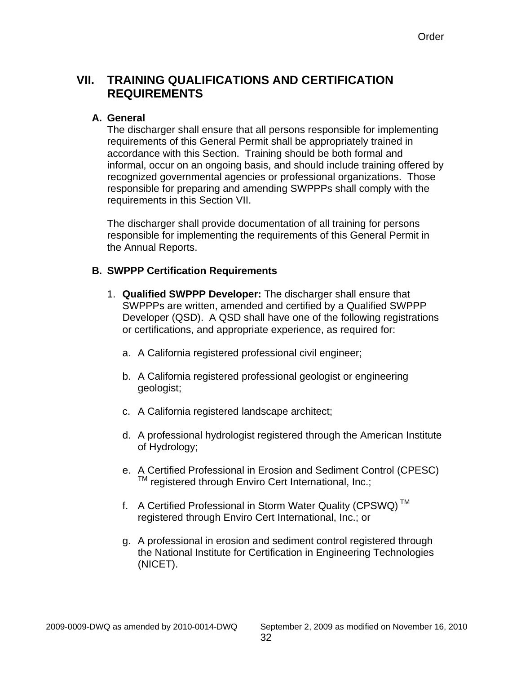# <span id="page-34-0"></span>**VII. TRAINING QUALIFICATIONS AND CERTIFICATION REQUIREMENTS**

#### **A. General**

The discharger shall ensure that all persons responsible for implementing requirements of this General Permit shall be appropriately trained in accordance with this Section. Training should be both formal and informal, occur on an ongoing basis, and should include training offered by recognized governmental agencies or professional organizations. Those responsible for preparing and amending SWPPPs shall comply with the requirements in this Section VII.

The discharger shall provide documentation of all training for persons responsible for implementing the requirements of this General Permit in the Annual Reports.

### **B. SWPPP Certification Requirements**

- 1. **Qualified SWPPP Developer:** The discharger shall ensure that SWPPPs are written, amended and certified by a Qualified SWPPP Developer (QSD). A QSD shall have one of the following registrations or certifications, and appropriate experience, as required for:
	- a. A California registered professional civil engineer;
	- b. A California registered professional geologist or engineering geologist;
	- c. A California registered landscape architect;
	- d. A professional hydrologist registered through the American Institute of Hydrology;
	- e. A Certified Professional in Erosion and Sediment Control (CPESC) <sup>™</sup> registered through Enviro Cert International, Inc.;
	- f. A Certified Professional in Storm Water Quality (CPSWQ) TM registered through Enviro Cert International, Inc.; or
	- g. A professional in erosion and sediment control registered through the National Institute for Certification in Engineering Technologies (NICET).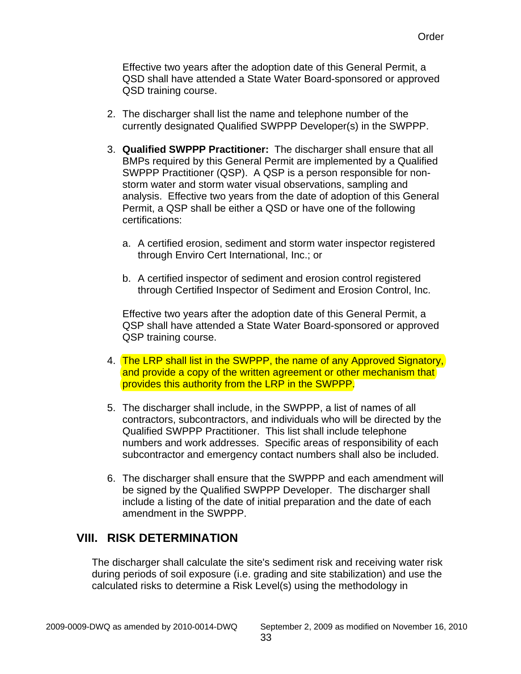<span id="page-35-0"></span>Effective two years after the adoption date of this General Permit, a QSD shall have attended a State Water Board-sponsored or approved QSD training course.

- 2. The discharger shall list the name and telephone number of the currently designated Qualified SWPPP Developer(s) in the SWPPP.
- 3. **Qualified SWPPP Practitioner:** The discharger shall ensure that all BMPs required by this General Permit are implemented by a Qualified SWPPP Practitioner (QSP). A QSP is a person responsible for nonstorm water and storm water visual observations, sampling and analysis. Effective two years from the date of adoption of this General Permit, a QSP shall be either a QSD or have one of the following certifications:
	- a. A certified erosion, sediment and storm water inspector registered through Enviro Cert International, Inc.; or
	- b. A certified inspector of sediment and erosion control registered through Certified Inspector of Sediment and Erosion Control, Inc.

Effective two years after the adoption date of this General Permit, a QSP shall have attended a State Water Board-sponsored or approved QSP training course.

- 4. The LRP shall list in the SWPPP, the name of any Approved Signatory, and provide a copy of the written agreement or other mechanism that provides this authority from the LRP in the SWPPP.
- 5. The discharger shall include, in the SWPPP, a list of names of all contractors, subcontractors, and individuals who will be directed by the Qualified SWPPP Practitioner. This list shall include telephone numbers and work addresses. Specific areas of responsibility of each subcontractor and emergency contact numbers shall also be included.
- 6. The discharger shall ensure that the SWPPP and each amendment will be signed by the Qualified SWPPP Developer. The discharger shall include a listing of the date of initial preparation and the date of each amendment in the SWPPP.

# **VIII. RISK DETERMINATION**

The discharger shall calculate the site's sediment risk and receiving water risk during periods of soil exposure (i.e. grading and site stabilization) and use the calculated risks to determine a Risk Level(s) using the methodology in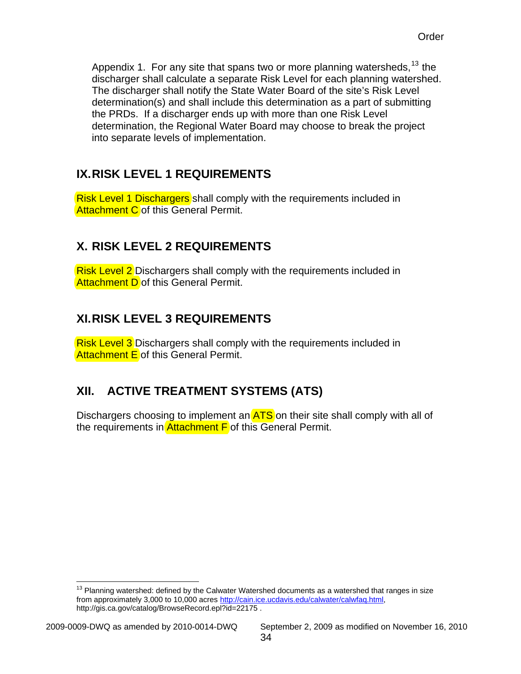<span id="page-36-0"></span>Appendix 1. For any site that spans two or more planning watersheds,  $13$  the discharger shall calculate a separate Risk Level for each planning watershed. The discharger shall notify the State Water Board of the site's Risk Level determination(s) and shall include this determination as a part of submitting the PRDs. If a discharger ends up with more than one Risk Level determination, the Regional Water Board may choose to break the project into separate levels of implementation.

# **IX. RISK LEVEL 1 REQUIREMENTS**

Risk Level 1 Dischargers shall comply with the requirements included in Attachment C of this General Permit.

# **X. RISK LEVEL 2 REQUIREMENTS**

Risk Level 2 Dischargers shall comply with the requirements included in **Attachment D** of this General Permit.

# **XI.RISK LEVEL 3 REQUIREMENTS**

Risk Level 3 Dischargers shall comply with the requirements included in Attachment E of this General Permit.

# **XII. ACTIVE TREATMENT SYSTEMS (ATS)**

Dischargers choosing to implement an **ATS** on their site shall comply with all of the requirements in Attachment F of this General Permit.

<span id="page-36-1"></span> $\overline{a}$  $13$  Planning watershed: defined by the Calwater Watershed documents as a watershed that ranges in size from approximately 3,000 to 10,000 acres [http://cain.ice.ucdavis.edu/calwater/calwfaq.html,](http://cain.ice.ucdavis.edu/calwater/calwfaq.html) http://gis.ca.gov/catalog/BrowseRecord.epl?id=22175 .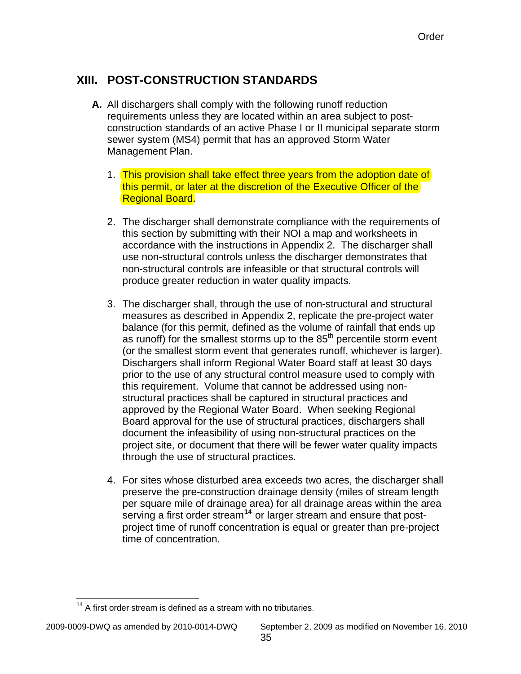# <span id="page-37-0"></span>**XIII. POST-CONSTRUCTION STANDARDS**

- **A.** All dischargers shall comply with the following runoff reduction requirements unless they are located within an area subject to postconstruction standards of an active Phase I or II municipal separate storm sewer system (MS4) permit that has an approved Storm Water Management Plan.
	- 1. This provision shall take effect three years from the adoption date of this permit, or later at the discretion of the Executive Officer of the Regional Board.
	- 2. The discharger shall demonstrate compliance with the requirements of this section by submitting with their NOI a map and worksheets in accordance with the instructions in Appendix 2. The discharger shall use non-structural controls unless the discharger demonstrates that non-structural controls are infeasible or that structural controls will produce greater reduction in water quality impacts.
	- 3. The discharger shall, through the use of non-structural and structural measures as described in Appendix 2, replicate the pre-project water balance (for this permit, defined as the volume of rainfall that ends up as runoff) for the smallest storms up to the  $85<sup>th</sup>$  percentile storm event (or the smallest storm event that generates runoff, whichever is larger). Dischargers shall inform Regional Water Board staff at least 30 days prior to the use of any structural control measure used to comply with this requirement. Volume that cannot be addressed using nonstructural practices shall be captured in structural practices and approved by the Regional Water Board. When seeking Regional Board approval for the use of structural practices, dischargers shall document the infeasibility of using non-structural practices on the project site, or document that there will be fewer water quality impacts through the use of structural practices.
	- 4. For sites whose disturbed area exceeds two acres, the discharger shall preserve the pre-construction drainage density (miles of stream length per square mile of drainage area) for all drainage areas within the area serving a first order stream**[14](#page-37-1)** or larger stream and ensure that postproject time of runoff concentration is equal or greater than pre-project time of concentration.

<span id="page-37-1"></span> $\overline{a}$  $14$  A first order stream is defined as a stream with no tributaries.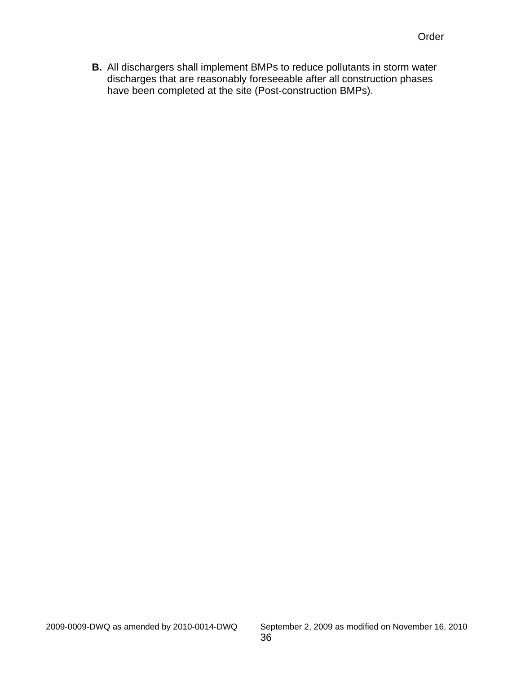**B.** All dischargers shall implement BMPs to reduce pollutants in storm water discharges that are reasonably foreseeable after all construction phases have been completed at the site (Post-construction BMPs).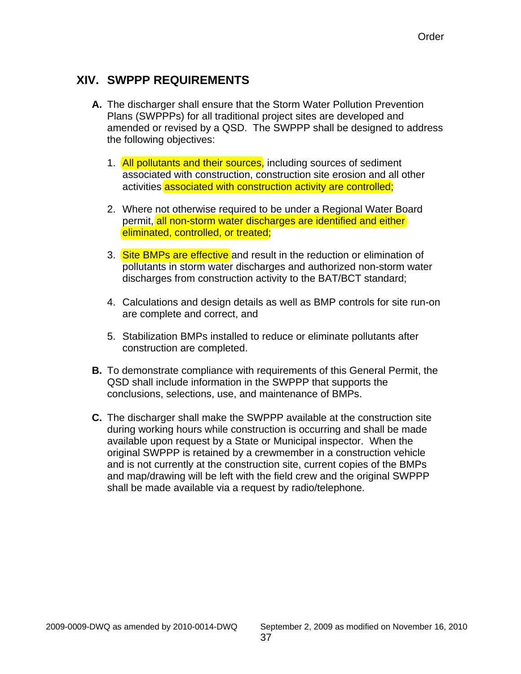# <span id="page-39-0"></span>**XIV. SWPPP REQUIREMENTS**

- **A.** The discharger shall ensure that the Storm Water Pollution Prevention Plans (SWPPPs) for all traditional project sites are developed and amended or revised by a QSD. The SWPPP shall be designed to address the following objectives:
	- 1. All pollutants and their sources, including sources of sediment associated with construction, construction site erosion and all other activities associated with construction activity are controlled;
	- 2. Where not otherwise required to be under a Regional Water Board permit, all non-storm water discharges are identified and either eliminated, controlled, or treated;
	- 3. Site BMPs are effective and result in the reduction or elimination of pollutants in storm water discharges and authorized non-storm water discharges from construction activity to the BAT/BCT standard;
	- 4. Calculations and design details as well as BMP controls for site run-on are complete and correct, and
	- 5. Stabilization BMPs installed to reduce or eliminate pollutants after construction are completed.
- **B.** To demonstrate compliance with requirements of this General Permit, the QSD shall include information in the SWPPP that supports the conclusions, selections, use, and maintenance of BMPs.
- **C.** The discharger shall make the SWPPP available at the construction site during working hours while construction is occurring and shall be made available upon request by a State or Municipal inspector. When the original SWPPP is retained by a crewmember in a construction vehicle and is not currently at the construction site, current copies of the BMPs and map/drawing will be left with the field crew and the original SWPPP shall be made available via a request by radio/telephone.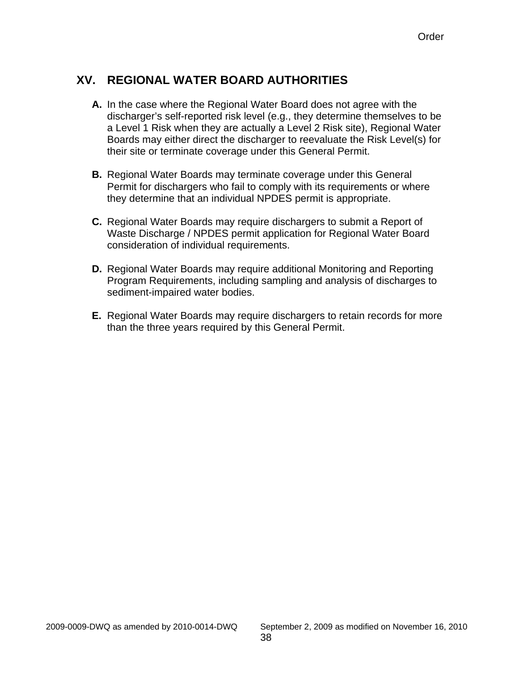# <span id="page-40-0"></span>**XV. REGIONAL WATER BOARD AUTHORITIES**

- **A.** In the case where the Regional Water Board does not agree with the discharger's self-reported risk level (e.g., they determine themselves to be a Level 1 Risk when they are actually a Level 2 Risk site), Regional Water Boards may either direct the discharger to reevaluate the Risk Level(s) for their site or terminate coverage under this General Permit.
- **B.** Regional Water Boards may terminate coverage under this General Permit for dischargers who fail to comply with its requirements or where they determine that an individual NPDES permit is appropriate.
- **C.** Regional Water Boards may require dischargers to submit a Report of Waste Discharge / NPDES permit application for Regional Water Board consideration of individual requirements.
- **D.** Regional Water Boards may require additional Monitoring and Reporting Program Requirements, including sampling and analysis of discharges to sediment-impaired water bodies.
- **E.** Regional Water Boards may require dischargers to retain records for more than the three years required by this General Permit.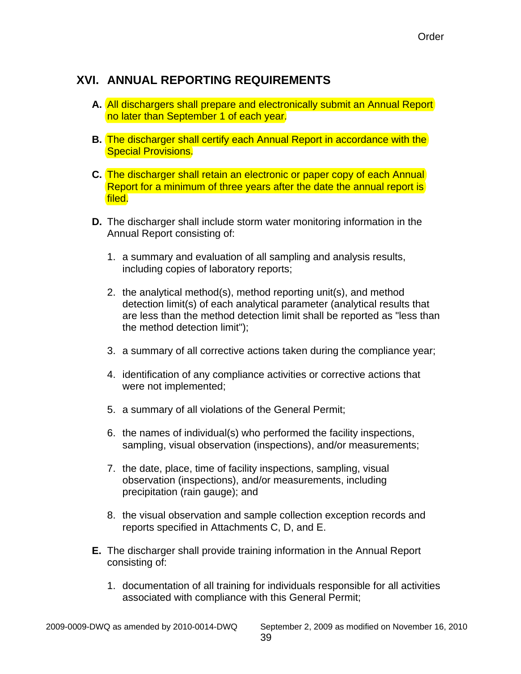# <span id="page-41-0"></span>**XVI. ANNUAL REPORTING REQUIREMENTS**

- **A.** All dischargers shall prepare and electronically submit an Annual Report no later than September 1 of each year.
- **B.** The discharger shall certify each Annual Report in accordance with the Special Provisions.
- **C.** The discharger shall retain an electronic or paper copy of each Annual Report for a minimum of three years after the date the annual report is filed.
- **D.** The discharger shall include storm water monitoring information in the Annual Report consisting of:
	- 1. a summary and evaluation of all sampling and analysis results, including copies of laboratory reports;
	- 2. the analytical method(s), method reporting unit(s), and method detection limit(s) of each analytical parameter (analytical results that are less than the method detection limit shall be reported as "less than the method detection limit");
	- 3. a summary of all corrective actions taken during the compliance year;
	- 4. identification of any compliance activities or corrective actions that were not implemented;
	- 5. a summary of all violations of the General Permit;
	- 6. the names of individual(s) who performed the facility inspections, sampling, visual observation (inspections), and/or measurements;
	- 7. the date, place, time of facility inspections, sampling, visual observation (inspections), and/or measurements, including precipitation (rain gauge); and
	- 8. the visual observation and sample collection exception records and reports specified in Attachments C, D, and E.
- **E.** The discharger shall provide training information in the Annual Report consisting of:
	- 1. documentation of all training for individuals responsible for all activities associated with compliance with this General Permit;

2009-0009-DWQ as amended by 2010-0014-DWQ September 2, 2009 as modified on November 16, 2010